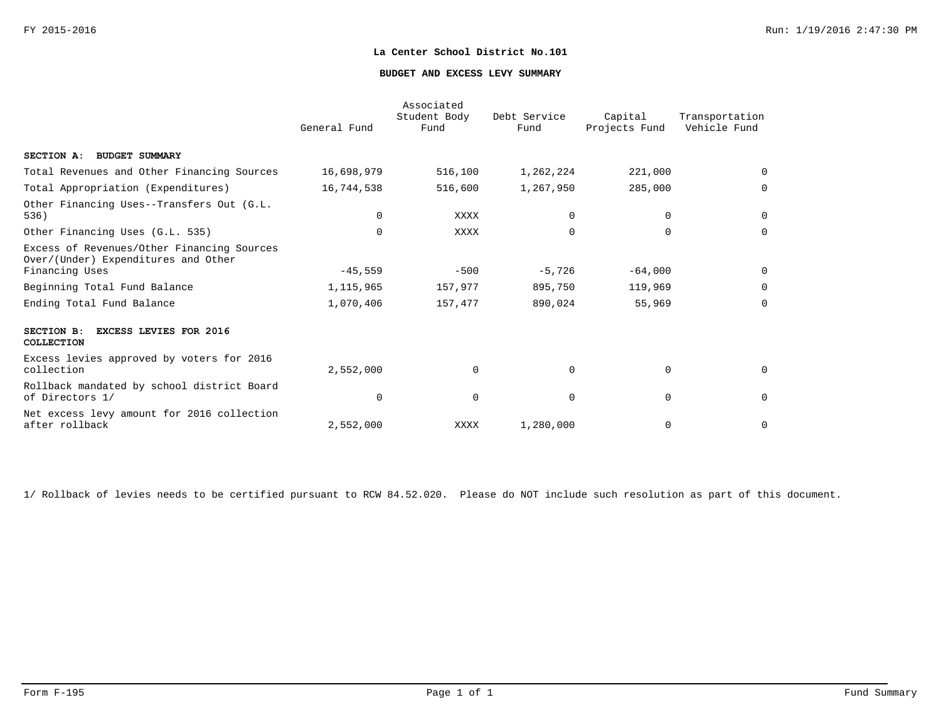### **BUDGET AND EXCESS LEVY SUMMARY**

|                                                                                                     | General Fund | Associated<br>Student Body<br>Fund | Debt Service<br>Fund | Capital<br>Projects Fund | Transportation<br>Vehicle Fund |
|-----------------------------------------------------------------------------------------------------|--------------|------------------------------------|----------------------|--------------------------|--------------------------------|
| SECTION A: BUDGET SUMMARY                                                                           |              |                                    |                      |                          |                                |
| Total Revenues and Other Financing Sources                                                          | 16,698,979   | 516,100                            | 1,262,224            | 221,000                  | $\Omega$                       |
| Total Appropriation (Expenditures)                                                                  | 16,744,538   | 516,600                            | 1,267,950            | 285,000                  | $\Omega$                       |
| Other Financing Uses--Transfers Out (G.L.<br>536)                                                   | $\Omega$     | XXXX                               | $\Omega$             | 0                        | 0                              |
| Other Financing Uses (G.L. 535)                                                                     | $\Omega$     | XXXX                               | $\Omega$             | $\Omega$                 | $\Omega$                       |
| Excess of Revenues/Other Financing Sources<br>Over/(Under) Expenditures and Other<br>Financing Uses | $-45,559$    | $-500$                             | $-5,726$             | $-64,000$                | 0                              |
| Beginning Total Fund Balance                                                                        | 1,115,965    | 157,977                            | 895,750              | 119,969                  | $\Omega$                       |
| Ending Total Fund Balance                                                                           | 1,070,406    | 157,477                            | 890,024              | 55,969                   | $\mathbf 0$                    |
| SECTION B:<br><b>EXCESS LEVIES FOR 2016</b><br>COLLECTION                                           |              |                                    |                      |                          |                                |
| Excess levies approved by voters for 2016<br>collection                                             | 2,552,000    | $\mathbf 0$                        | $\Omega$             | $\mathbf 0$              | 0                              |
| Rollback mandated by school district Board<br>of Directors 1/                                       | $\Omega$     | $\mathbf 0$                        | $\Omega$             | $\mathbf 0$              | $\mathbf 0$                    |
| Net excess levy amount for 2016 collection<br>after rollback                                        | 2,552,000    | XXXX                               | 1,280,000            | 0                        | $\mathbf 0$                    |

1/ Rollback of levies needs to be certified pursuant to RCW 84.52.020. Please do NOT include such resolution as part of this document.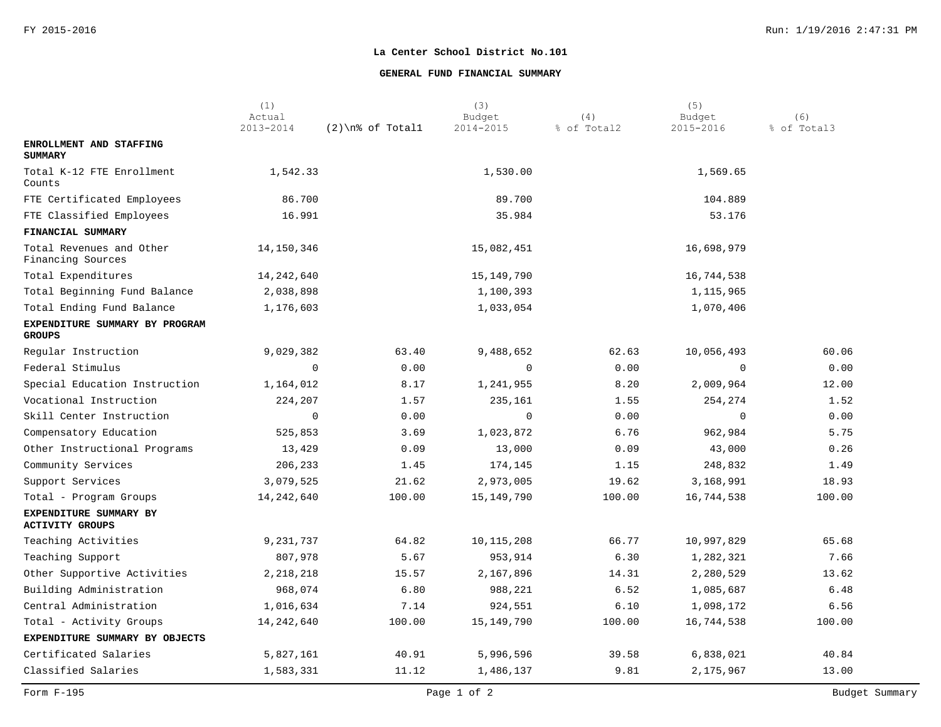## **GENERAL FUND FINANCIAL SUMMARY**

|                                                  | (1)<br>Actual |                     | (3)<br>Budget | (4)         | (5)<br>Budget | (6)         |
|--------------------------------------------------|---------------|---------------------|---------------|-------------|---------------|-------------|
|                                                  | 2013-2014     | $(2)$ \n% of Totall | 2014-2015     | % of Total2 | 2015-2016     | % of Total3 |
| ENROLLMENT AND STAFFING<br><b>SUMMARY</b>        |               |                     |               |             |               |             |
| Total K-12 FTE Enrollment<br>Counts              | 1,542.33      |                     | 1,530.00      |             | 1,569.65      |             |
| FTE Certificated Employees                       | 86.700        |                     | 89.700        |             | 104.889       |             |
| FTE Classified Employees                         | 16.991        |                     | 35.984        |             | 53.176        |             |
| FINANCIAL SUMMARY                                |               |                     |               |             |               |             |
| Total Revenues and Other<br>Financing Sources    | 14,150,346    |                     | 15,082,451    |             | 16,698,979    |             |
| Total Expenditures                               | 14,242,640    |                     | 15,149,790    |             | 16,744,538    |             |
| Total Beginning Fund Balance                     | 2,038,898     |                     | 1,100,393     |             | 1,115,965     |             |
| Total Ending Fund Balance                        | 1,176,603     |                     | 1,033,054     |             | 1,070,406     |             |
| EXPENDITURE SUMMARY BY PROGRAM<br><b>GROUPS</b>  |               |                     |               |             |               |             |
| Regular Instruction                              | 9,029,382     | 63.40               | 9,488,652     | 62.63       | 10,056,493    | 60.06       |
| Federal Stimulus                                 | $\mathbf 0$   | 0.00                | $\Omega$      | 0.00        | $\Omega$      | 0.00        |
| Special Education Instruction                    | 1,164,012     | 8.17                | 1,241,955     | 8.20        | 2,009,964     | 12.00       |
| Vocational Instruction                           | 224,207       | 1.57                | 235,161       | 1.55        | 254,274       | 1.52        |
| Skill Center Instruction                         | $\mathbf 0$   | 0.00                | $\mathbf 0$   | 0.00        | $\Omega$      | 0.00        |
| Compensatory Education                           | 525,853       | 3.69                | 1,023,872     | 6.76        | 962,984       | 5.75        |
| Other Instructional Programs                     | 13,429        | 0.09                | 13,000        | 0.09        | 43,000        | 0.26        |
| Community Services                               | 206,233       | 1.45                | 174,145       | 1.15        | 248,832       | 1.49        |
| Support Services                                 | 3,079,525     | 21.62               | 2,973,005     | 19.62       | 3,168,991     | 18.93       |
| Total - Program Groups                           | 14, 242, 640  | 100.00              | 15,149,790    | 100.00      | 16,744,538    | 100.00      |
| EXPENDITURE SUMMARY BY<br><b>ACTIVITY GROUPS</b> |               |                     |               |             |               |             |
| Teaching Activities                              | 9,231,737     | 64.82               | 10, 115, 208  | 66.77       | 10,997,829    | 65.68       |
| Teaching Support                                 | 807,978       | 5.67                | 953,914       | 6.30        | 1,282,321     | 7.66        |
| Other Supportive Activities                      | 2, 218, 218   | 15.57               | 2,167,896     | 14.31       | 2,280,529     | 13.62       |
| Building Administration                          | 968,074       | 6.80                | 988,221       | 6.52        | 1,085,687     | 6.48        |
| Central Administration                           | 1,016,634     | 7.14                | 924,551       | 6.10        | 1,098,172     | 6.56        |
| Total - Activity Groups                          | 14, 242, 640  | 100.00              | 15, 149, 790  | 100.00      | 16,744,538    | 100.00      |
| EXPENDITURE SUMMARY BY OBJECTS                   |               |                     |               |             |               |             |
| Certificated Salaries                            | 5,827,161     | 40.91               | 5,996,596     | 39.58       | 6,838,021     | 40.84       |
| Classified Salaries                              | 1,583,331     | 11.12               | 1,486,137     | 9.81        | 2,175,967     | 13.00       |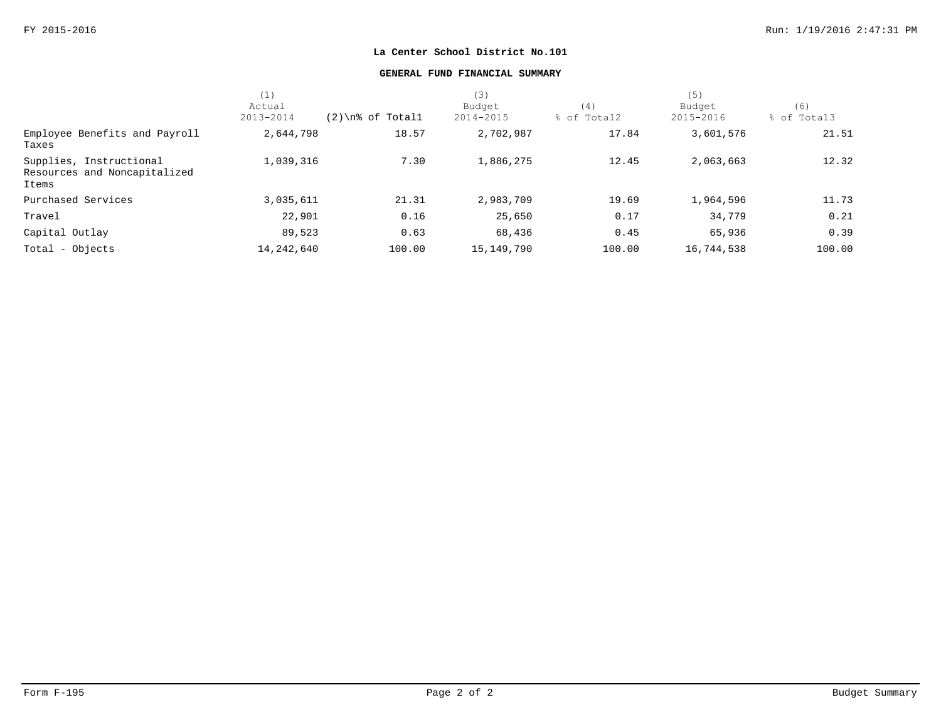## **GENERAL FUND FINANCIAL SUMMARY**

|                                                                  | (1)          |                     | (3)          |             | (5)        |             |
|------------------------------------------------------------------|--------------|---------------------|--------------|-------------|------------|-------------|
|                                                                  | Actual       |                     | Budget       | (4)         | Budget     | (6)         |
|                                                                  | 2013-2014    | $(2)$ \n% of Totall | 2014-2015    | % of Total2 | 2015-2016  | % of Total3 |
| Employee Benefits and Payroll<br>Taxes                           | 2,644,798    | 18.57               | 2,702,987    | 17.84       | 3,601,576  | 21.51       |
| Supplies, Instructional<br>Resources and Noncapitalized<br>Items | 1,039,316    | 7.30                | 1,886,275    | 12.45       | 2,063,663  | 12.32       |
| Purchased Services                                               | 3,035,611    | 21.31               | 2,983,709    | 19.69       | 1,964,596  | 11.73       |
| Travel                                                           | 22,901       | 0.16                | 25,650       | 0.17        | 34,779     | 0.21        |
| Capital Outlay                                                   | 89,523       | 0.63                | 68,436       | 0.45        | 65,936     | 0.39        |
| Total - Objects                                                  | 14, 242, 640 | 100.00              | 15, 149, 790 | 100.00      | 16,744,538 | 100.00      |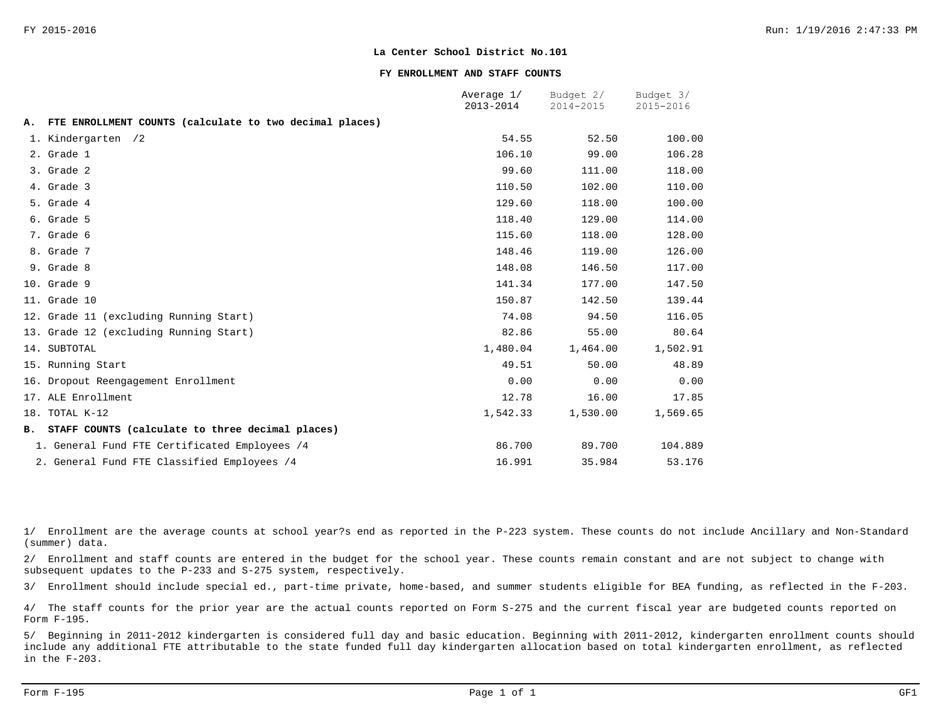#### **FY ENROLLMENT AND STAFF COUNTS**

|    |                                                         | Average 1/<br>2013-2014 | Budget 2/<br>2014-2015 | Budget 3/<br>2015-2016 |
|----|---------------------------------------------------------|-------------------------|------------------------|------------------------|
| Α. | FTE ENROLLMENT COUNTS (calculate to two decimal places) |                         |                        |                        |
|    | 1. Kindergarten /2                                      | 54.55                   | 52.50                  | 100.00                 |
|    | 2. Grade 1                                              | 106.10                  | 99.00                  | 106.28                 |
|    | 3. Grade 2                                              | 99.60                   | 111.00                 | 118.00                 |
|    | 4. Grade 3                                              | 110.50                  | 102.00                 | 110.00                 |
|    | 5. Grade 4                                              | 129.60                  | 118.00                 | 100.00                 |
|    | 6. Grade 5                                              | 118.40                  | 129.00                 | 114.00                 |
|    | 7. Grade 6                                              | 115.60                  | 118.00                 | 128.00                 |
|    | 8. Grade 7                                              | 148.46                  | 119.00                 | 126.00                 |
|    | 9. Grade 8                                              | 148.08                  | 146.50                 | 117.00                 |
|    | 10. Grade 9                                             | 141.34                  | 177.00                 | 147.50                 |
|    | 11. Grade 10                                            | 150.87                  | 142.50                 | 139.44                 |
|    | 12. Grade 11 (excluding Running Start)                  | 74.08                   | 94.50                  | 116.05                 |
|    | 13. Grade 12 (excluding Running Start)                  | 82.86                   | 55.00                  | 80.64                  |
|    | 14. SUBTOTAL                                            | 1,480.04                | 1,464.00               | 1,502.91               |
|    | 15. Running Start                                       | 49.51                   | 50.00                  | 48.89                  |
|    | 16. Dropout Reengagement Enrollment                     | 0.00                    | 0.00                   | 0.00                   |
|    | 17. ALE Enrollment                                      | 12.78                   | 16.00                  | 17.85                  |
|    | 18. TOTAL K-12                                          | 1,542.33                | 1,530.00               | 1,569.65               |
|    | B. STAFF COUNTS (calculate to three decimal places)     |                         |                        |                        |
|    | 1. General Fund FTE Certificated Employees /4           | 86.700                  | 89.700                 | 104.889                |
|    | 2. General Fund FTE Classified Employees /4             | 16.991                  | 35.984                 | 53.176                 |

1/ Enrollment are the average counts at school year?s end as reported in the P-223 system. These counts do not include Ancillary and Non-Standard (summer) data.

2/ Enrollment and staff counts are entered in the budget for the school year. These counts remain constant and are not subject to change with subsequent updates to the P-233 and S-275 system, respectively.

3/ Enrollment should include special ed., part-time private, home-based, and summer students eligible for BEA funding, as reflected in the F-203.

4/ The staff counts for the prior year are the actual counts reported on Form S-275 and the current fiscal year are budgeted counts reported on Form F-195.

5/ Beginning in 2011-2012 kindergarten is considered full day and basic education. Beginning with 2011-2012, kindergarten enrollment counts should include any additional FTE attributable to the state funded full day kindergarten allocation based on total kindergarten enrollment, as reflected in the F-203.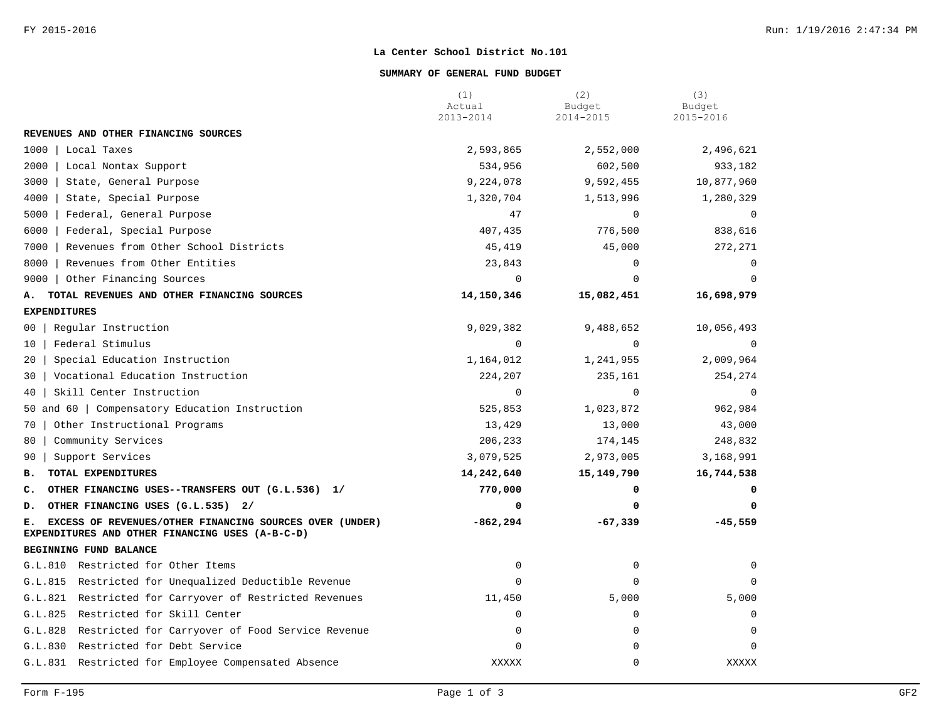### **SUMMARY OF GENERAL FUND BUDGET**

|                                                                                                                  | (1)<br>Actual | (2)<br>Budget | (3)<br>Budget |
|------------------------------------------------------------------------------------------------------------------|---------------|---------------|---------------|
|                                                                                                                  | 2013-2014     | 2014-2015     | 2015-2016     |
| REVENUES AND OTHER FINANCING SOURCES                                                                             |               |               |               |
| 1000<br>Local Taxes                                                                                              | 2,593,865     | 2,552,000     | 2,496,621     |
| 2000<br>Local Nontax Support                                                                                     | 534,956       | 602,500       | 933,182       |
| 3000<br>State, General Purpose                                                                                   | 9,224,078     | 9,592,455     | 10,877,960    |
| 4000<br>State, Special Purpose                                                                                   | 1,320,704     | 1,513,996     | 1,280,329     |
| 5000<br>Federal, General Purpose                                                                                 | 47            | $\Omega$      | $\mathbf 0$   |
| 6000<br>Federal, Special Purpose                                                                                 | 407,435       | 776,500       | 838,616       |
| 7000<br>Revenues from Other School Districts                                                                     | 45,419        | 45,000        | 272,271       |
| Revenues from Other Entities<br>8000                                                                             | 23,843        | 0             | $\mathbf 0$   |
| 9000   Other Financing Sources                                                                                   | $\Omega$      | $\Omega$      | $\mathbf 0$   |
| TOTAL REVENUES AND OTHER FINANCING SOURCES<br>А.                                                                 | 14,150,346    | 15,082,451    | 16,698,979    |
| <b>EXPENDITURES</b>                                                                                              |               |               |               |
| Regular Instruction<br>00                                                                                        | 9,029,382     | 9,488,652     | 10,056,493    |
| Federal Stimulus<br>10 <sup>1</sup>                                                                              | $\Omega$      | $\mathbf 0$   | $\Omega$      |
| Special Education Instruction<br>20 l                                                                            | 1,164,012     | 1,241,955     | 2,009,964     |
| Vocational Education Instruction<br>30 l                                                                         | 224,207       | 235,161       | 254,274       |
| Skill Center Instruction<br>40                                                                                   | 0             | $\mathbf 0$   | $\mathbf 0$   |
| 50 and 60   Compensatory Education Instruction                                                                   | 525,853       | 1,023,872     | 962,984       |
| Other Instructional Programs<br>70                                                                               | 13,429        | 13,000        | 43,000        |
| Community Services<br>80                                                                                         | 206,233       | 174,145       | 248,832       |
| Support Services<br>90                                                                                           | 3,079,525     | 2,973,005     | 3,168,991     |
| TOTAL EXPENDITURES<br>в.                                                                                         | 14,242,640    | 15,149,790    | 16,744,538    |
| OTHER FINANCING USES--TRANSFERS OUT (G.L.536) 1/<br>c.                                                           | 770,000       | 0             | 0             |
| OTHER FINANCING USES (G.L.535) 2/<br>D.                                                                          | 0             | $\Omega$      | 0             |
| EXCESS OF REVENUES/OTHER FINANCING SOURCES OVER (UNDER)<br>Е.<br>EXPENDITURES AND OTHER FINANCING USES (A-B-C-D) | $-862, 294$   | $-67,339$     | $-45,559$     |
| BEGINNING FUND BALANCE                                                                                           |               |               |               |
| G.L.810 Restricted for Other Items                                                                               | 0             | 0             | 0             |
| Restricted for Unequalized Deductible Revenue<br>G.L.815                                                         | $\mathbf 0$   | $\mathbf 0$   | $\mathbf 0$   |
| G.L.821<br>Restricted for Carryover of Restricted Revenues                                                       | 11,450        | 5,000         | 5,000         |
| Restricted for Skill Center<br>G.L.825                                                                           | $\mathbf 0$   | $\mathbf 0$   | $\mathsf 0$   |
| G.L.828<br>Restricted for Carryover of Food Service Revenue                                                      | $\mathbf 0$   | 0             | $\mathbf 0$   |
| G.L.830<br>Restricted for Debt Service                                                                           | $\Omega$      | $\Omega$      | $\Omega$      |
| G.L.831 Restricted for Employee Compensated Absence                                                              | <b>XXXXX</b>  | $\mathsf 0$   | XXXXX         |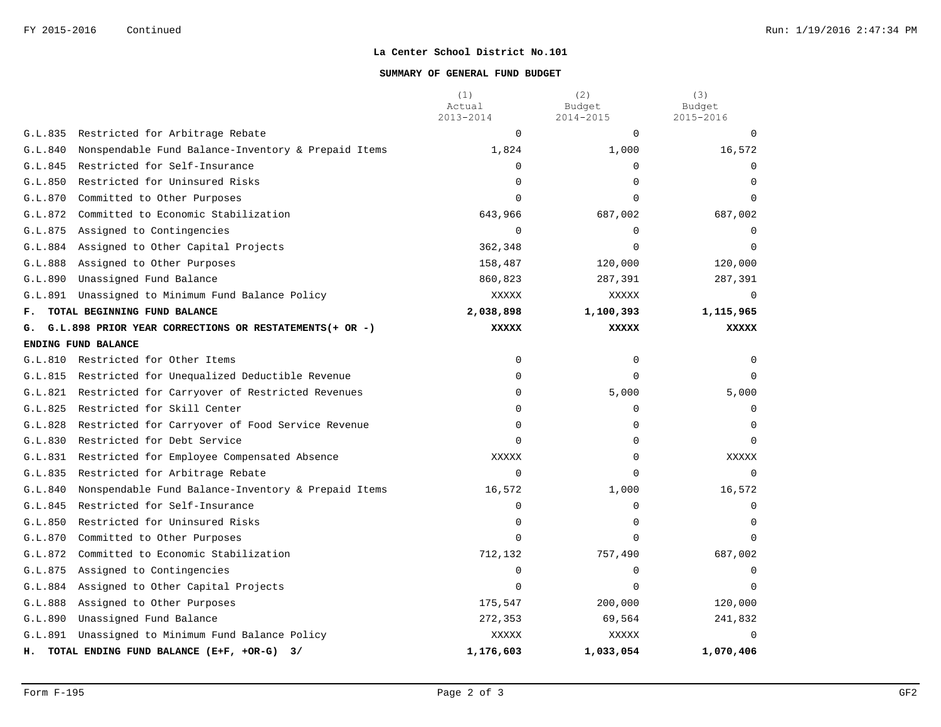## **SUMMARY OF GENERAL FUND BUDGET**

|         |                                                         | (1)<br>Actual<br>2013-2014 | (2)<br>Budget<br>2014-2015 | (3)<br>Budget<br>2015-2016 |
|---------|---------------------------------------------------------|----------------------------|----------------------------|----------------------------|
|         | G.L.835 Restricted for Arbitrage Rebate                 | $\Omega$                   | $\Omega$                   |                            |
| G.L.840 | Nonspendable Fund Balance-Inventory & Prepaid Items     | 1,824                      | 1,000                      | 16,572                     |
| G.L.845 | Restricted for Self-Insurance                           | $\mathbf 0$                | $\Omega$                   | $\Omega$                   |
| G.L.850 | Restricted for Uninsured Risks                          | $\Omega$                   | $\Omega$                   | $\Omega$                   |
| G.L.870 | Committed to Other Purposes                             | $\Omega$                   | $\Omega$                   | $\Omega$                   |
| G.L.872 | Committed to Economic Stabilization                     | 643,966                    | 687,002                    | 687,002                    |
| G.L.875 | Assigned to Contingencies                               | $\mathbf 0$                | $\Omega$                   | $\Omega$                   |
|         | G.L.884 Assigned to Other Capital Projects              | 362,348                    | $\Omega$                   | $\cap$                     |
| G.L.888 | Assigned to Other Purposes                              | 158,487                    | 120,000                    | 120,000                    |
| G.L.890 | Unassigned Fund Balance                                 | 860,823                    | 287,391                    | 287,391                    |
| G.L.891 | Unassigned to Minimum Fund Balance Policy               | XXXXX                      | XXXXX                      | $\Omega$                   |
| F.      | TOTAL BEGINNING FUND BALANCE                            | 2,038,898                  | 1,100,393                  | 1,115,965                  |
| G.      | G.L.898 PRIOR YEAR CORRECTIONS OR RESTATEMENTS (+ OR -) | <b>XXXXX</b>               | <b>XXXXX</b>               | <b>XXXXX</b>               |
|         | ENDING FUND BALANCE                                     |                            |                            |                            |
|         | G.L.810 Restricted for Other Items                      | 0                          | $\Omega$                   | $\Omega$                   |
| G.L.815 | Restricted for Unequalized Deductible Revenue           | $\mathbf 0$                | $\Omega$                   | $\Omega$                   |
| G.L.821 | Restricted for Carryover of Restricted Revenues         | $\mathbf 0$                | 5,000                      | 5,000                      |
|         | G.L.825 Restricted for Skill Center                     | $\Omega$                   | $\Omega$                   | $\Omega$                   |
| G.L.828 | Restricted for Carryover of Food Service Revenue        | $\mathbf 0$                | 0                          | $\Omega$                   |
|         | G.L.830 Restricted for Debt Service                     | $\Omega$                   | 0                          | $\Omega$                   |
|         | G.L.831 Restricted for Employee Compensated Absence     | <b>XXXXX</b>               | $\Omega$                   | XXXXX                      |
|         | G.L.835 Restricted for Arbitrage Rebate                 | $\mathbf 0$                | $\Omega$                   | $\Omega$                   |
| G.L.840 | Nonspendable Fund Balance-Inventory & Prepaid Items     | 16,572                     | 1,000                      | 16,572                     |
|         | G.L.845 Restricted for Self-Insurance                   | $\mathbf 0$                | $\Omega$                   | $\Omega$                   |
| G.L.850 | Restricted for Uninsured Risks                          | $\Omega$                   | $\Omega$                   | $\Omega$                   |
| G.L.870 | Committed to Other Purposes                             | $\Omega$                   | $\Omega$                   | $\Omega$                   |
| G.L.872 | Committed to Economic Stabilization                     | 712,132                    | 757,490                    | 687,002                    |
| G.L.875 | Assigned to Contingencies                               | $\Omega$                   | $\Omega$                   | $\Omega$                   |
| G.L.884 | Assigned to Other Capital Projects                      | $\Omega$                   | $\Omega$                   | $\Omega$                   |
| G.L.888 | Assigned to Other Purposes                              | 175,547                    | 200,000                    | 120,000                    |
| G.L.890 | Unassigned Fund Balance                                 | 272,353                    | 69,564                     | 241,832                    |
| G.L.891 | Unassigned to Minimum Fund Balance Policy               | XXXXX                      | XXXXX                      | $\Omega$                   |
| н.      | TOTAL ENDING FUND BALANCE (E+F, +OR-G) 3/               | 1,176,603                  | 1,033,054                  | 1,070,406                  |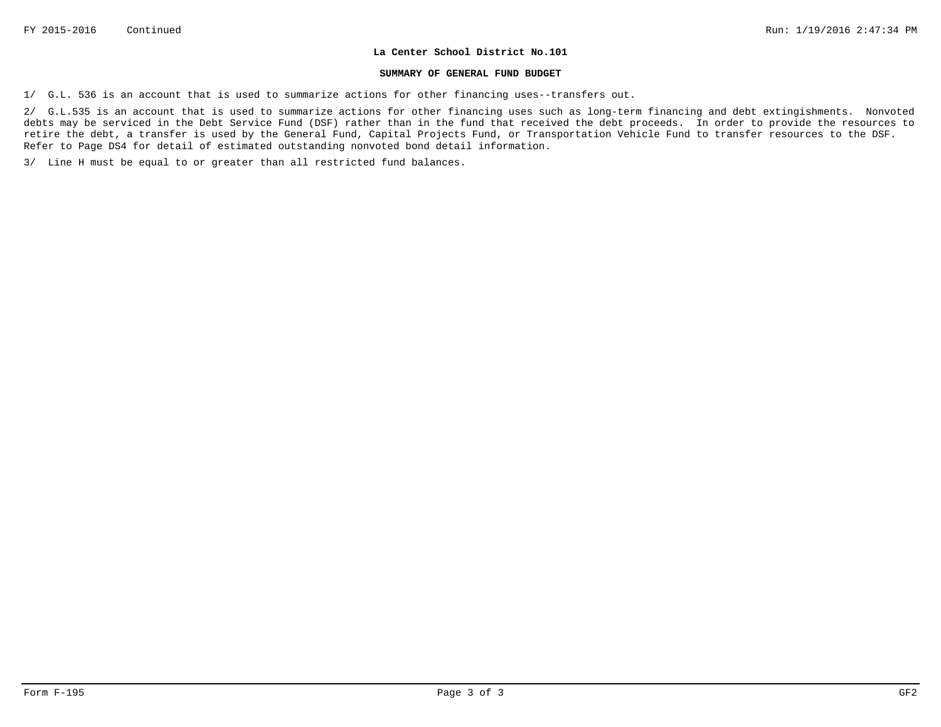#### **SUMMARY OF GENERAL FUND BUDGET**

1/ G.L. 536 is an account that is used to summarize actions for other financing uses--transfers out.

2/ G.L.535 is an account that is used to summarize actions for other financing uses such as long-term financing and debt extingishments. Nonvoted debts may be serviced in the Debt Service Fund (DSF) rather than in the fund that received the debt proceeds. In order to provide the resources to retire the debt, a transfer is used by the General Fund, Capital Projects Fund, or Transportation Vehicle Fund to transfer resources to the DSF. Refer to Page DS4 for detail of estimated outstanding nonvoted bond detail information.

3/ Line H must be equal to or greater than all restricted fund balances.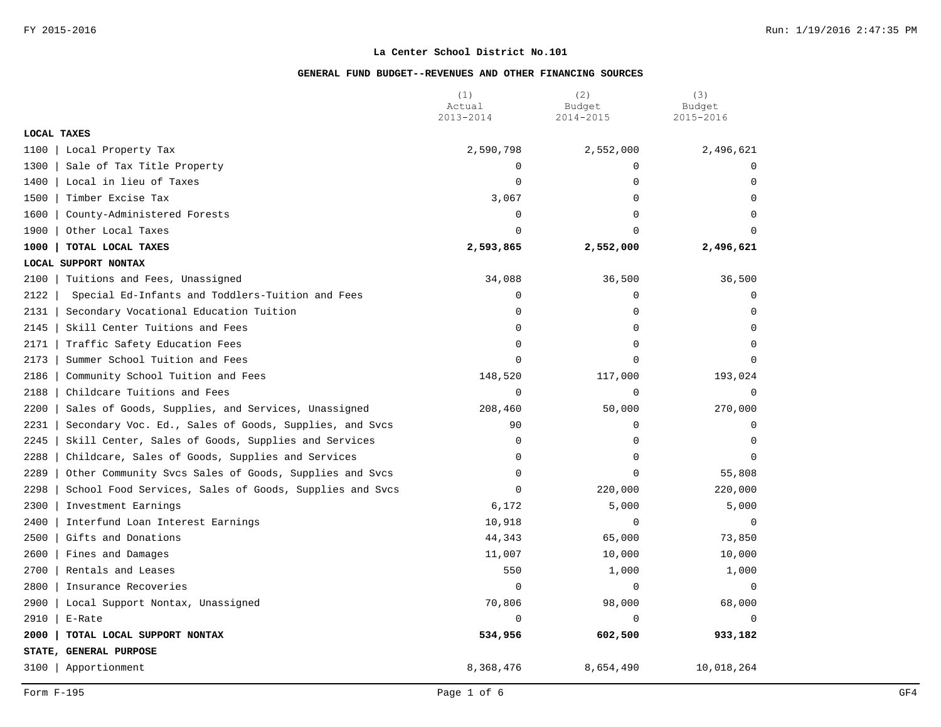|             |                                                         | (1)<br>Actual | (2)<br>Budget | (3)<br>Budget |
|-------------|---------------------------------------------------------|---------------|---------------|---------------|
| LOCAL TAXES |                                                         | 2013-2014     | 2014-2015     | 2015-2016     |
| 1100        | Local Property Tax                                      | 2,590,798     | 2,552,000     | 2,496,621     |
| 1300        | Sale of Tax Title Property                              | $\Omega$      | $\Omega$      | $\Omega$      |
| 1400        | Local in lieu of Taxes                                  | $\mathbf 0$   | 0             | $\Omega$      |
| 1500        | Timber Excise Tax                                       | 3,067         | 0             | $\Omega$      |
| 1600        | County-Administered Forests                             | $\mathbf 0$   | $\Omega$      | $\Omega$      |
| 1900        | Other Local Taxes                                       | $\Omega$      | $\Omega$      | $\Omega$      |
| 1000        | TOTAL LOCAL TAXES                                       | 2,593,865     | 2,552,000     | 2,496,621     |
|             | LOCAL SUPPORT NONTAX                                    |               |               |               |
| 2100        | Tuitions and Fees, Unassigned                           | 34,088        | 36,500        | 36,500        |
| 2122        | Special Ed-Infants and Toddlers-Tuition and Fees        | $\mathbf 0$   | $\Omega$      | $\Omega$      |
| 2131        | Secondary Vocational Education Tuition                  | $\mathbf 0$   | 0             | $\mathbf 0$   |
| 2145        | Skill Center Tuitions and Fees                          | $\Omega$      | $\Omega$      | $\Omega$      |
| 2171        | Traffic Safety Education Fees                           | $\mathbf 0$   | 0             | $\Omega$      |
| 2173        | Summer School Tuition and Fees                          | $\mathbf 0$   | 0             | $\Omega$      |
| 2186        | Community School Tuition and Fees                       | 148,520       | 117,000       | 193,024       |
| 2188        | Childcare Tuitions and Fees                             | $\mathbf 0$   | 0             | $\Omega$      |
| 2200        | Sales of Goods, Supplies, and Services, Unassigned      | 208,460       | 50,000        | 270,000       |
| 2231        | Secondary Voc. Ed., Sales of Goods, Supplies, and Svcs  | 90            | $\Omega$      | $\Omega$      |
| 2245        | Skill Center, Sales of Goods, Supplies and Services     | $\mathbf 0$   | 0             | $\Omega$      |
| 2288        | Childcare, Sales of Goods, Supplies and Services        | $\Omega$      | $\Omega$      | $\Omega$      |
| 2289        | Other Community Svcs Sales of Goods, Supplies and Svcs  | $\mathbf 0$   | 0             | 55,808        |
| 2298        | School Food Services, Sales of Goods, Supplies and Svcs | $\Omega$      | 220,000       | 220,000       |
| 2300        | Investment Earnings                                     | 6,172         | 5,000         | 5,000         |
| 2400        | Interfund Loan Interest Earnings                        | 10,918        | $\mathbf 0$   | $\Omega$      |
| 2500        | Gifts and Donations                                     | 44,343        | 65,000        | 73,850        |
| 2600        | Fines and Damages                                       | 11,007        | 10,000        | 10,000        |
| 2700        | Rentals and Leases                                      | 550           | 1,000         | 1,000         |
| 2800        | Insurance Recoveries                                    | $\Omega$      | $\Omega$      | $\Omega$      |
| 2900        | Local Support Nontax, Unassigned                        | 70,806        | 98,000        | 68,000        |
| 2910        | E-Rate                                                  | $\Omega$      | $\Omega$      | $\Omega$      |
| 2000        | TOTAL LOCAL SUPPORT NONTAX                              | 534,956       | 602,500       | 933,182       |
|             | STATE, GENERAL PURPOSE                                  |               |               |               |
| 3100        | Apportionment                                           | 8,368,476     | 8,654,490     | 10,018,264    |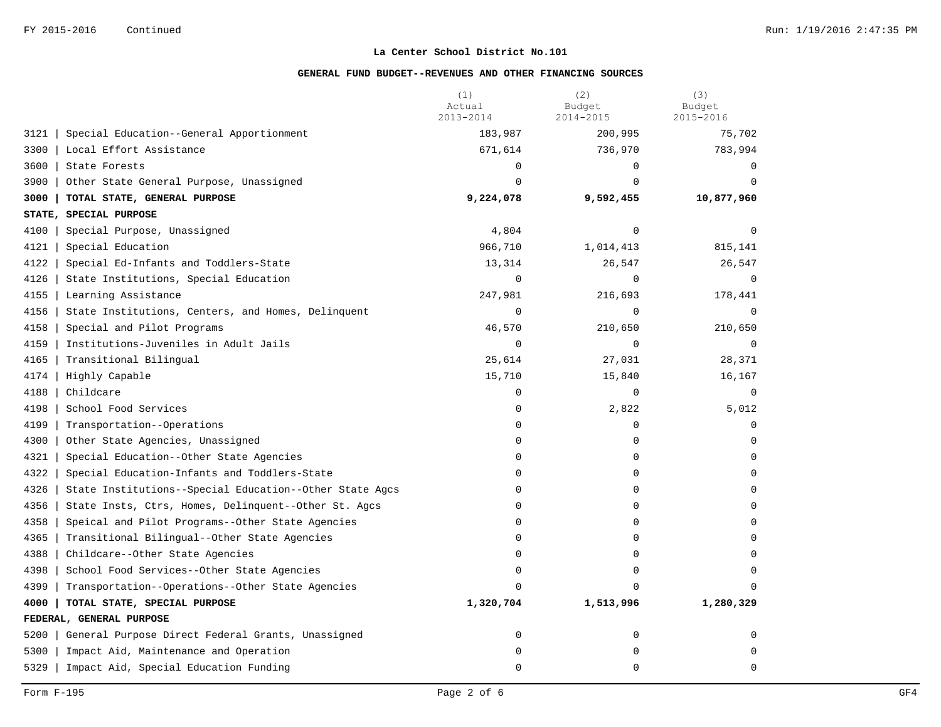|        |                                                         | (1)<br>Actual<br>2013-2014 | (2)<br>Budget<br>2014-2015 | (3)<br>Budget<br>2015-2016 |
|--------|---------------------------------------------------------|----------------------------|----------------------------|----------------------------|
| 3121   | Special Education--General Apportionment                | 183,987                    | 200,995                    | 75,702                     |
| 3300   | Local Effort Assistance                                 | 671,614                    | 736,970                    | 783,994                    |
| 3600   | State Forests                                           | $\mathbf 0$                | $\Omega$                   | $\Omega$                   |
| 3900   | Other State General Purpose, Unassigned                 | $\Omega$                   | $\Omega$                   | $\Omega$                   |
| 3000   | TOTAL STATE, GENERAL PURPOSE                            | 9,224,078                  | 9,592,455                  | 10,877,960                 |
| STATE, | SPECIAL PURPOSE                                         |                            |                            |                            |
| 4100   | Special Purpose, Unassigned                             | 4,804                      | $\Omega$                   | $\Omega$                   |
| 4121   | Special Education                                       | 966,710                    | 1,014,413                  | 815,141                    |
| 4122   | Special Ed-Infants and Toddlers-State                   | 13,314                     | 26,547                     | 26,547                     |
| 4126   | State Institutions, Special Education                   | $\Omega$                   | $\Omega$                   | $\Omega$                   |
| 4155   | Learning Assistance                                     | 247,981                    | 216,693                    | 178,441                    |
| 4156   | State Institutions, Centers, and Homes, Delinquent      | $\mathbf 0$                | $\Omega$                   | $\Omega$                   |
| 4158   | Special and Pilot Programs                              | 46,570                     | 210,650                    | 210,650                    |
| 4159   | Institutions-Juveniles in Adult Jails                   | $\mathbf 0$                | $\mathbf 0$                | $\overline{0}$             |
| 4165   | Transitional Bilingual                                  | 25,614                     | 27,031                     | 28,371                     |
| 4174   | Highly Capable                                          | 15,710                     | 15,840                     | 16,167                     |
| 4188   | Childcare                                               | $\mathbf 0$                | $\mathbf 0$                | $\overline{0}$             |
| 4198   | School Food Services                                    | $\mathbf 0$                | 2,822                      | 5,012                      |
| 4199   | Transportation--Operations                              | $\Omega$                   | $\Omega$                   | $\Omega$                   |
| 4300   | Other State Agencies, Unassigned                        | $\mathbf 0$                | 0                          | $\mathbf 0$                |
| 4321   | Special Education--Other State Agencies                 | 0                          | 0                          | $\Omega$                   |
| 4322   | Special Education-Infants and Toddlers-State            | $\Omega$                   | $\Omega$                   | $\Omega$                   |
| 4326   | State Institutions--Special Education--Other State Agcs | $\mathbf 0$                | 0                          | $\Omega$                   |
| 4356   | State Insts, Ctrs, Homes, Delinquent--Other St. Agcs    | 0                          | 0                          | $\Omega$                   |
| 4358   | Speical and Pilot Programs--Other State Agencies        | $\Omega$                   | $\Omega$                   | $\Omega$                   |
| 4365   | Transitional Bilingual--Other State Agencies            | $\mathbf 0$                | 0                          | $\Omega$                   |
| 4388   | Childcare--Other State Agencies                         | $\mathbf 0$                | $\Omega$                   | $\Omega$                   |
| 4398   | School Food Services--Other State Agencies              | $\Omega$                   | $\Omega$                   | $\Omega$                   |
| 4399   | Transportation--Operations--Other State Agencies        | $\Omega$                   | $\Omega$                   |                            |
| 4000   | TOTAL STATE, SPECIAL PURPOSE                            | 1,320,704                  | 1,513,996                  | 1,280,329                  |
|        | FEDERAL, GENERAL PURPOSE                                |                            |                            |                            |
| 5200   | General Purpose Direct Federal Grants, Unassigned       | $\mathbf 0$                | 0                          | $\mathbf 0$                |
| 5300   | Impact Aid, Maintenance and Operation                   | $\mathbf 0$                | 0                          | $\mathbf 0$                |
| 5329   | Impact Aid, Special Education Funding                   | $\Omega$                   | $\Omega$                   | $\Omega$                   |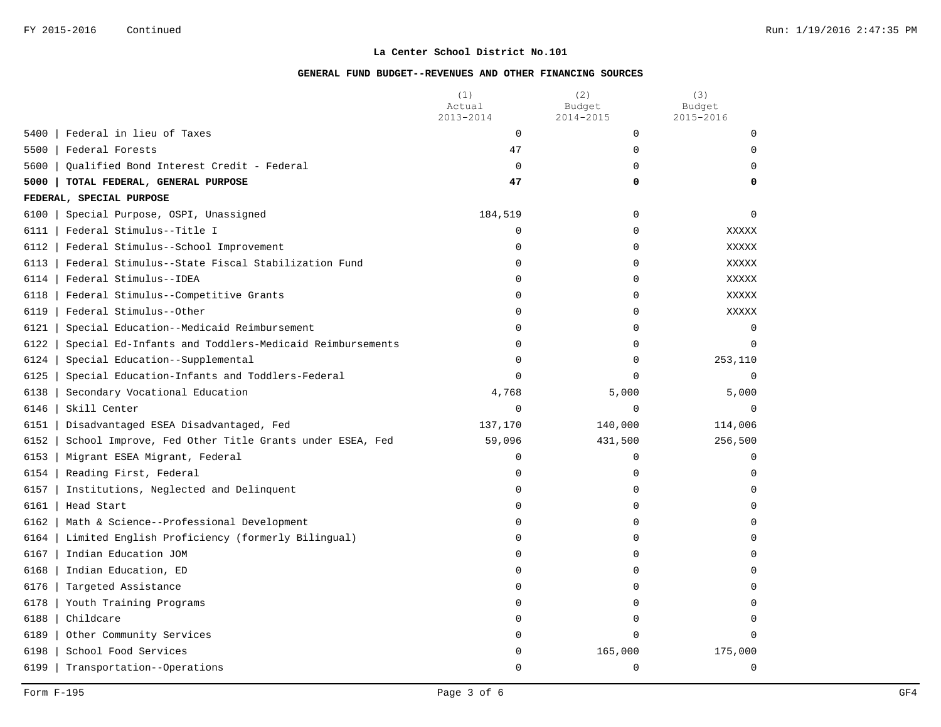|                                                                 | (1)<br>Actual<br>2013-2014 | (2)<br>Budget<br>2014-2015 | (3)<br>Budget<br>2015-2016 |
|-----------------------------------------------------------------|----------------------------|----------------------------|----------------------------|
| 5400<br>Federal in lieu of Taxes                                | $\mathbf 0$                | $\mathbf 0$                | 0                          |
| 5500<br>Federal Forests                                         | 47                         | 0                          | $\Omega$                   |
| 5600<br>Oualified Bond Interest Credit - Federal                | 0                          | $\Omega$                   | $\Omega$                   |
| 5000<br>TOTAL FEDERAL, GENERAL PURPOSE                          | 47                         | 0                          | 0                          |
| FEDERAL, SPECIAL PURPOSE                                        |                            |                            |                            |
| 6100<br>Special Purpose, OSPI, Unassigned                       | 184,519                    | $\mathbf 0$                | $\Omega$                   |
| 6111<br>Federal Stimulus--Title I                               | 0                          | $\mathbf 0$                | XXXXX                      |
| 6112<br>Federal Stimulus--School Improvement                    | 0                          | $\mathbf 0$                | XXXXX                      |
| 6113<br>Federal Stimulus--State Fiscal Stabilization Fund       | 0                          | $\mathbf 0$                | <b>XXXXX</b>               |
| 6114<br>Federal Stimulus--IDEA                                  | 0                          | $\Omega$                   | <b>XXXXX</b>               |
| 6118<br>Federal Stimulus--Competitive Grants                    | 0                          | $\mathbf 0$                | XXXXX                      |
| 6119<br>Federal Stimulus--Other                                 | 0                          | $\mathbf 0$                | XXXXX                      |
| 6121<br>Special Education--Medicaid Reimbursement               | 0                          | $\mathbf 0$                | $\Omega$                   |
| 6122<br>Special Ed-Infants and Toddlers-Medicaid Reimbursements | 0                          | $\Omega$                   | $\Omega$                   |
| 6124<br>Special Education--Supplemental                         | 0                          | 0                          | 253,110                    |
| 6125<br>Special Education-Infants and Toddlers-Federal          | $\Omega$                   | $\Omega$                   | $\Omega$                   |
| 6138<br>Secondary Vocational Education                          | 4,768                      | 5,000                      | 5,000                      |
| 6146<br>Skill Center                                            | $\mathbf 0$                | $\mathbf 0$                | $\Omega$                   |
| 6151<br>Disadvantaged ESEA Disadvantaged, Fed                   | 137,170                    | 140,000                    | 114,006                    |
| 6152<br>School Improve, Fed Other Title Grants under ESEA, Fed  | 59,096                     | 431,500                    | 256,500                    |
| 6153<br>Migrant ESEA Migrant, Federal                           | 0                          | $\mathbf 0$                | $\Omega$                   |
| 6154<br>Reading First, Federal                                  | 0                          | 0                          | $\mathsf{O}$               |
| 6157<br>Institutions, Neglected and Delinquent                  | 0                          | 0                          | $\mathbf 0$                |
| 6161<br>Head Start                                              | 0                          | 0                          | $\Omega$                   |
| 6162<br>Math & Science--Professional Development                | 0                          | $\Omega$                   | $\Omega$                   |
| 6164<br>Limited English Proficiency (formerly Bilingual)        | 0                          | $\Omega$                   | $\Omega$                   |
| 6167<br>Indian Education JOM                                    | $\Omega$                   | $\Omega$                   | $\Omega$                   |
| 6168<br>Indian Education, ED                                    | 0                          | 0                          | $\Omega$                   |
| 6176<br>Targeted Assistance                                     | 0                          | 0                          | $\mathbf 0$                |
| 6178<br>Youth Training Programs                                 | 0                          | $\mathbf 0$                | $\Omega$                   |
| 6188<br>Childcare                                               | 0                          | $\Omega$                   | $\Omega$                   |
| 6189<br>Other Community Services                                | 0                          | $\Omega$                   | $\Omega$                   |
| 6198<br>School Food Services                                    | 0                          | 165,000                    | 175,000                    |
| 6199<br>Transportation--Operations                              | 0                          | $\overline{0}$             | $\mathbf 0$                |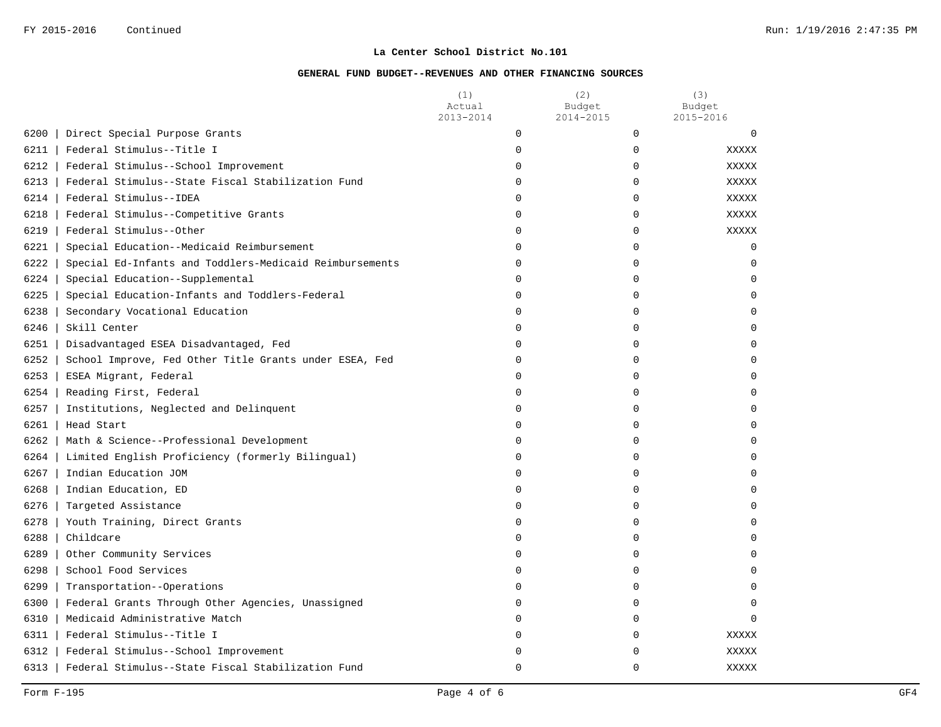| 2015-2016<br>2013-2014<br>2014-2015                                                  |              |
|--------------------------------------------------------------------------------------|--------------|
|                                                                                      |              |
| 6200<br>$\mathbf 0$<br>Direct Special Purpose Grants<br>$\mathbf 0$                  | $\mathbf 0$  |
| 6211<br>Federal Stimulus--Title I<br>$\Omega$<br>$\Omega$                            | <b>XXXXX</b> |
| 6212<br>Federal Stimulus--School Improvement<br>0<br>0                               | XXXXX        |
| 6213<br>Federal Stimulus--State Fiscal Stabilization Fund<br>0<br>0                  | <b>XXXXX</b> |
| 6214<br>Federal Stimulus--IDEA<br>0<br>0                                             | <b>XXXXX</b> |
| 6218<br>Federal Stimulus--Competitive Grants<br>$\mathbf 0$<br>0                     | XXXXX        |
| 6219<br>Federal Stimulus--Other<br>$\mathbf 0$<br>0                                  | XXXXX        |
| 6221<br>Special Education--Medicaid Reimbursement<br>0<br>0                          | $\mathbf 0$  |
| 6222<br>Special Ed-Infants and Toddlers-Medicaid Reimbursements<br>0<br>$\Omega$     | $\Omega$     |
| 6224<br>Special Education--Supplemental<br>0<br>0                                    | $\Omega$     |
| 6225<br>Special Education-Infants and Toddlers-Federal<br>0<br>0                     | U            |
| 6238<br>Secondary Vocational Education<br>$\Omega$<br>$\Omega$                       | $\Omega$     |
| 6246<br>Skill Center<br>$\Omega$<br>$\Omega$                                         |              |
| 6251<br>Disadvantaged ESEA Disadvantaged, Fed<br>0<br>0                              | U            |
| 6252<br>School Improve, Fed Other Title Grants under ESEA, Fed<br>0<br>0             | $\Omega$     |
| 6253<br>ESEA Migrant, Federal<br>$\mathbf 0$<br>$\Omega$                             | $\Omega$     |
| 6254<br>Reading First, Federal<br>$\mathbf 0$<br>0                                   | $\Omega$     |
| 6257<br>Institutions, Neglected and Delinquent<br>0<br>0                             | $\Omega$     |
| 6261<br>Head Start<br>$\mathbf 0$<br>0                                               | $\Omega$     |
| 6262<br>Math & Science--Professional Development<br>$\Omega$<br>$\Omega$             | $\Omega$     |
| 6264<br>Limited English Proficiency (formerly Bilingual)<br>0<br>$\mathbf 0$         | $\Omega$     |
| 6267<br>Indian Education JOM<br>0<br>0                                               | $\Omega$     |
| 6268<br>Indian Education, ED<br>0<br>$\Omega$                                        | $\Omega$     |
| 6276<br>Targeted Assistance<br>$\mathbf 0$<br>0                                      | $\Omega$     |
| 6278<br>Youth Training, Direct Grants<br>0<br>0                                      | U            |
| 6288<br>Childcare<br>0<br>0                                                          | U            |
| 6289<br>Other Community Services<br>$\Omega$<br>$\Omega$                             | $\Omega$     |
| 6298<br>School Food Services<br>$\Omega$<br>0                                        |              |
| 6299<br>Transportation--Operations<br>$\Omega$<br>0                                  | U            |
| 6300<br>Federal Grants Through Other Agencies, Unassigned<br>$\mathbf 0$<br>$\Omega$ | $\Omega$     |
| 6310<br>Medicaid Administrative Match<br>0<br>0                                      | $\Omega$     |
| 6311<br>Federal Stimulus--Title I<br>0<br>0                                          | XXXXX        |
| 6312<br>Federal Stimulus--School Improvement<br>0<br>0                               | <b>XXXXX</b> |
| 6313<br>Federal Stimulus--State Fiscal Stabilization Fund<br>$\Omega$<br>$\Omega$    | XXXXX        |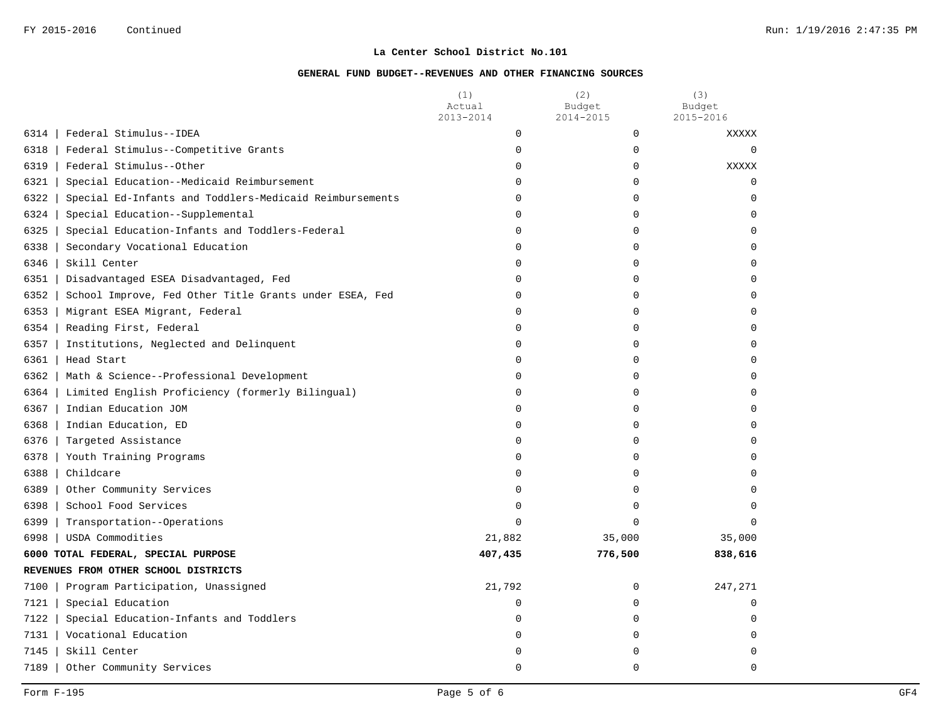|                                                                 | (1)<br>Actual<br>2013-2014 | (2)<br>Budget<br>2014-2015 | (3)<br>Budget<br>$2015 - 2016$ |
|-----------------------------------------------------------------|----------------------------|----------------------------|--------------------------------|
| 6314<br>Federal Stimulus--IDEA                                  | 0                          | $\mathbf 0$                | XXXXX                          |
| 6318<br>Federal Stimulus--Competitive Grants                    | 0                          | 0                          | $\Omega$                       |
| 6319<br>Federal Stimulus--Other                                 | 0                          | 0                          | XXXXX                          |
| 6321<br>Special Education--Medicaid Reimbursement               | 0                          | $\mathbf 0$                | 0                              |
| Special Ed-Infants and Toddlers-Medicaid Reimbursements<br>6322 | 0                          | $\Omega$                   | $\mathbf 0$                    |
| 6324<br>Special Education--Supplemental                         | 0                          | 0                          | $\mathbf 0$                    |
| 6325<br>Special Education-Infants and Toddlers-Federal          | 0                          | $\Omega$                   | $\Omega$                       |
| 6338<br>Secondary Vocational Education                          | 0                          | $\mathbf 0$                | $\mathbf 0$                    |
| 6346<br>Skill Center                                            | 0                          | 0                          | $\Omega$                       |
| 6351<br>Disadvantaged ESEA Disadvantaged, Fed                   | $\Omega$                   | $\mathbf 0$                | $\mathbf 0$                    |
| School Improve, Fed Other Title Grants under ESEA, Fed<br>6352  | $\Omega$                   | $\mathbf 0$                | $\Omega$                       |
| 6353<br>Migrant ESEA Migrant, Federal                           | 0                          | 0                          | $\Omega$                       |
| 6354  <br>Reading First, Federal                                | 0                          | 0                          | $\Omega$                       |
| 6357<br>Institutions, Neglected and Delinquent                  | $\Omega$                   | $\Omega$                   | $\Omega$                       |
| 6361<br>Head Start                                              | 0                          | $\mathbf 0$                | $\mathbf 0$                    |
| 6362<br>Math & Science--Professional Development                | 0                          | $\mathbf 0$                | $\mathbf 0$                    |
| 6364<br>Limited English Proficiency (formerly Bilingual)        | 0                          | $\mathbf 0$                | $\mathbf 0$                    |
| Indian Education JOM<br>6367                                    | 0                          | 0                          | $\mathbf 0$                    |
| 6368<br>Indian Education, ED                                    | 0                          | 0                          | $\mathbf 0$                    |
| 6376<br>Targeted Assistance                                     | 0                          | 0                          | $\Omega$                       |
| 6378<br>Youth Training Programs                                 | $\Omega$                   | $\Omega$                   | $\Omega$                       |
| 6388<br>Childcare                                               | $\Omega$                   | $\Omega$                   | $\Omega$                       |
| 6389<br>Other Community Services                                | 0                          | $\mathbf 0$                | $\Omega$                       |
| 6398<br>School Food Services                                    | 0                          | $\mathbf 0$                | $\Omega$                       |
| 6399<br>Transportation--Operations                              | $\Omega$                   | $\Omega$                   |                                |
| 6998<br>USDA Commodities                                        | 21,882                     | 35,000                     | 35,000                         |
| 6000 TOTAL FEDERAL, SPECIAL PURPOSE                             | 407,435                    | 776,500                    | 838,616                        |
| REVENUES FROM OTHER SCHOOL DISTRICTS                            |                            |                            |                                |
| Program Participation, Unassigned<br>7100                       | 21,792                     | 0                          | 247,271                        |
| 7121<br>Special Education                                       | 0                          | $\mathbf 0$                | $\mathbf 0$                    |
| 7122<br>Special Education-Infants and Toddlers                  | 0                          | $\mathbf 0$                | $\mathbf 0$                    |
| 7131   Vocational Education                                     | 0                          | $\mathbf 0$                | $\mathbf 0$                    |
| 7145<br>Skill Center                                            | 0                          | 0                          | $\mathbf 0$                    |
| 7189<br>Other Community Services                                | $\Omega$                   | $\Omega$                   | $\Omega$                       |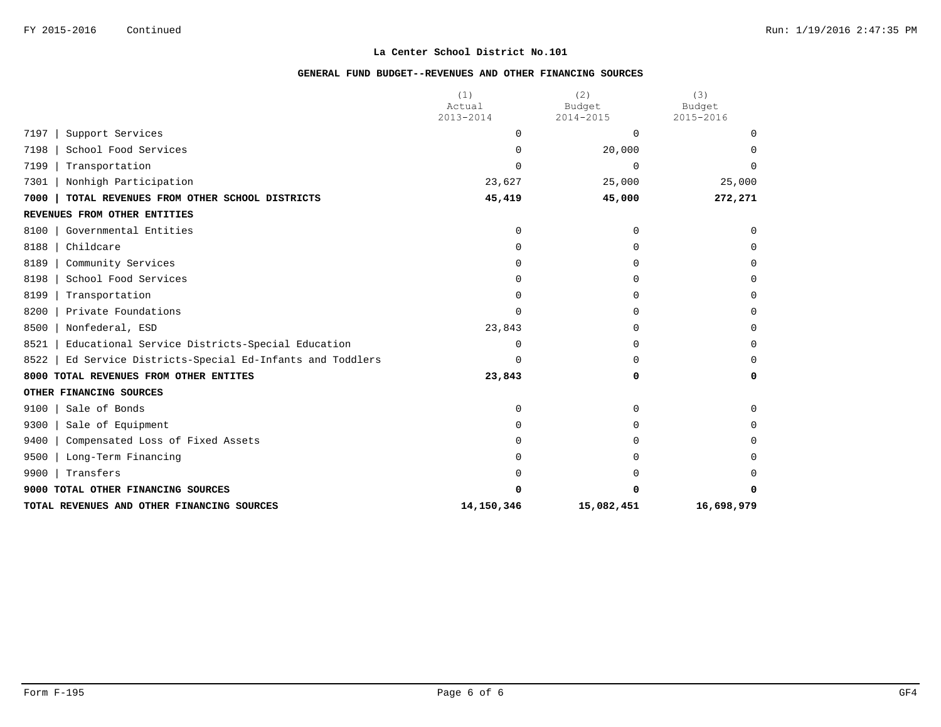|                                                              | (1)<br>Actual | (2)<br>Budget | (3)<br>Budget |
|--------------------------------------------------------------|---------------|---------------|---------------|
|                                                              | 2013-2014     | 2014-2015     | 2015-2016     |
| 7197<br>Support Services                                     | 0             | $\Omega$      | $\Omega$      |
| 7198<br>School Food Services                                 | 0             | 20,000        | <sup>0</sup>  |
| 7199<br>Transportation                                       | U             | $\Omega$      | <sup>n</sup>  |
| 7301<br>Nonhigh Participation                                | 23,627        | 25,000        | 25,000        |
| 7000<br>TOTAL REVENUES FROM OTHER SCHOOL DISTRICTS           | 45,419        | 45,000        | 272,271       |
| REVENUES FROM OTHER ENTITIES                                 |               |               |               |
| Governmental Entities<br>8100                                | 0             | 0             | $\mathbf 0$   |
| 8188<br>Childcare                                            | 0             | $\Omega$      | $\Omega$      |
| 8189<br>Community Services                                   | U             | $\Omega$      | $\Omega$      |
| 8198<br>School Food Services                                 | U             | 0             | $\Omega$      |
| 8199<br>Transportation                                       | U             | $\Omega$      | $\Omega$      |
| 8200<br>Private Foundations                                  | U             | $\Omega$      | $\Omega$      |
| 8500<br>Nonfederal, ESD                                      | 23,843        | $\Omega$      | 0             |
| 8521<br>Educational Service Districts-Special Education      | U             | $\Omega$      | $\Omega$      |
| 8522<br>Ed Service Districts-Special Ed-Infants and Toddlers | $\Omega$      | 0             | $\Omega$      |
| 8000 TOTAL REVENUES FROM OTHER ENTITES                       | 23,843        | 0             | 0             |
| OTHER FINANCING SOURCES                                      |               |               |               |
| 9100<br>Sale of Bonds                                        | 0             | $\Omega$      | $\Omega$      |
| 9300<br>Sale of Equipment                                    | U             | $\Omega$      | $\Omega$      |
| 9400<br>Compensated Loss of Fixed Assets                     |               | U             | <sup>0</sup>  |
| 9500<br>Long-Term Financing                                  |               | $\Omega$      | $\Omega$      |
| 9900<br>Transfers                                            |               |               | <sup>0</sup>  |
| 9000 TOTAL OTHER FINANCING SOURCES                           | 0             |               | 0             |
| TOTAL REVENUES AND OTHER FINANCING SOURCES                   | 14,150,346    | 15,082,451    | 16,698,979    |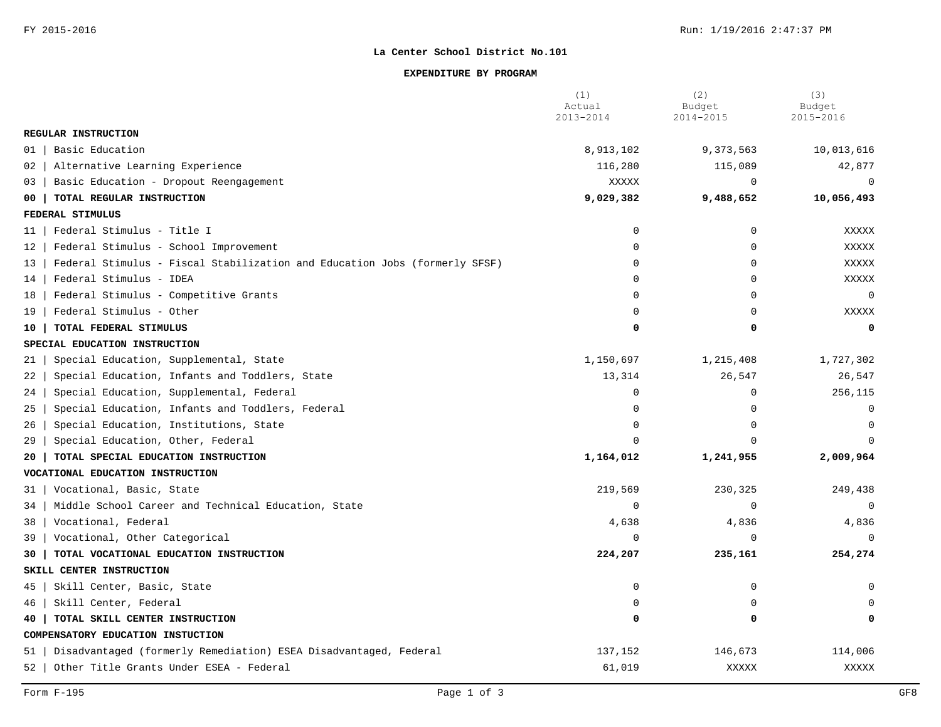## **EXPENDITURE BY PROGRAM**

|                                                                                  | (1)<br>Actual<br>2013-2014 | (2)<br>Budget<br>2014-2015 | (3)<br>Budget<br>2015-2016 |
|----------------------------------------------------------------------------------|----------------------------|----------------------------|----------------------------|
| REGULAR INSTRUCTION                                                              |                            |                            |                            |
| Basic Education<br>01                                                            | 8,913,102                  | 9,373,563                  | 10,013,616                 |
| Alternative Learning Experience<br>02                                            | 116,280                    | 115,089                    | 42,877                     |
| Basic Education - Dropout Reengagement<br>03                                     | XXXXX                      | $\mathbf 0$                | $\mathbf 0$                |
| TOTAL REGULAR INSTRUCTION<br>00                                                  | 9,029,382                  | 9,488,652                  | 10,056,493                 |
| FEDERAL STIMULUS                                                                 |                            |                            |                            |
| Federal Stimulus - Title I<br>11                                                 | $\mathbf 0$                | $\mathbf 0$                | <b>XXXXX</b>               |
| Federal Stimulus - School Improvement<br>12                                      | $\Omega$                   | $\Omega$                   | <b>XXXXX</b>               |
| Federal Stimulus - Fiscal Stabilization and Education Jobs (formerly SFSF)<br>13 | $\overline{0}$             | $\mathbf 0$                | XXXXX                      |
| Federal Stimulus - IDEA<br>14                                                    | $\Omega$                   | $\Omega$                   | <b>XXXXX</b>               |
| Federal Stimulus - Competitive Grants<br>18                                      | $\overline{0}$             | $\Omega$                   | $\mathbf 0$                |
| Federal Stimulus - Other<br>19                                                   | $\Omega$                   | $\Omega$                   | <b>XXXXX</b>               |
| TOTAL FEDERAL STIMULUS<br>10                                                     | $\Omega$                   | $\Omega$                   | $\mathbf 0$                |
| SPECIAL EDUCATION INSTRUCTION                                                    |                            |                            |                            |
| Special Education, Supplemental, State<br>21                                     | 1,150,697                  | 1,215,408                  | 1,727,302                  |
| Special Education, Infants and Toddlers, State<br>22                             | 13,314                     | 26,547                     | 26,547                     |
| Special Education, Supplemental, Federal<br>24                                   | $\overline{0}$             | $\Omega$                   | 256,115                    |
| Special Education, Infants and Toddlers, Federal<br>25                           | $\Omega$                   | $\Omega$                   | $\mathbf 0$                |
| Special Education, Institutions, State<br>26                                     | $\Omega$                   | $\Omega$                   | $\mathbf 0$                |
| Special Education, Other, Federal<br>29                                          | $\cap$                     | $\cap$                     | $\Omega$                   |
| TOTAL SPECIAL EDUCATION INSTRUCTION<br>20                                        | 1,164,012                  | 1,241,955                  | 2,009,964                  |
| VOCATIONAL EDUCATION INSTRUCTION                                                 |                            |                            |                            |
| Vocational, Basic, State<br>31                                                   | 219,569                    | 230,325                    | 249,438                    |
| Middle School Career and Technical Education, State<br>34                        | $\Omega$                   | $\Omega$                   | $\Omega$                   |
| Vocational, Federal<br>38                                                        | 4,638                      | 4,836                      | 4,836                      |
| 39<br>Vocational, Other Categorical                                              | $\mathbf 0$                | $\Omega$                   | $\Omega$                   |
| TOTAL VOCATIONAL EDUCATION INSTRUCTION<br>30                                     | 224,207                    | 235,161                    | 254,274                    |
| SKILL CENTER INSTRUCTION                                                         |                            |                            |                            |
| Skill Center, Basic, State<br>45                                                 | $\mathbf 0$                | 0                          | $\Omega$                   |
| Skill Center, Federal<br>46                                                      | $\Omega$                   | $\Omega$                   |                            |
| TOTAL SKILL CENTER INSTRUCTION<br>40                                             | $\Omega$                   | 0                          | $\mathbf 0$                |
| COMPENSATORY EDUCATION INSTUCTION                                                |                            |                            |                            |
| Disadvantaged (formerly Remediation) ESEA Disadvantaged, Federal<br>51           | 137,152                    | 146,673                    | 114,006                    |
| Other Title Grants Under ESEA - Federal<br>52                                    | 61,019                     | XXXXX                      | <b>XXXXX</b>               |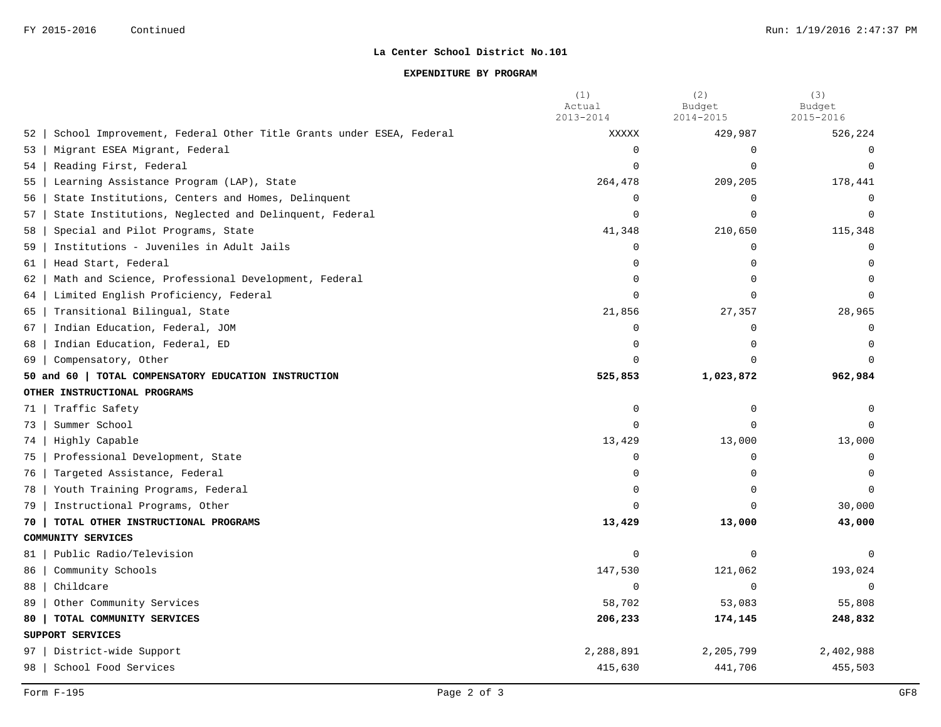## **EXPENDITURE BY PROGRAM**

|      |                                                                    | (1)<br>Actual | (2)<br>Budget | (3)<br>Budget |
|------|--------------------------------------------------------------------|---------------|---------------|---------------|
|      |                                                                    | $2013 - 2014$ | 2014-2015     | 2015-2016     |
| 52   | School Improvement, Federal Other Title Grants under ESEA, Federal | XXXXX         | 429,987       | 526,224       |
| 53   | Migrant ESEA Migrant, Federal                                      | $\Omega$      | $\Omega$      | $\Omega$      |
| 54   | Reading First, Federal                                             | $\Omega$      | $\Omega$      | $\Omega$      |
| 55   | Learning Assistance Program (LAP), State                           | 264,478       | 209,205       | 178,441       |
| 56   | State Institutions, Centers and Homes, Delinquent                  | 0             | $\Omega$      | $\Omega$      |
| 57   | State Institutions, Neglected and Delinquent, Federal              | $\Omega$      | $\Omega$      | $\Omega$      |
| 58   | Special and Pilot Programs, State                                  | 41,348        | 210,650       | 115,348       |
| 59   | Institutions - Juveniles in Adult Jails                            | $\mathbf 0$   | $\Omega$      | $\Omega$      |
| 61   | Head Start, Federal                                                | $\Omega$      | $\Omega$      | $\Omega$      |
| 62   | Math and Science, Professional Development, Federal                | $\cap$        | $\Omega$      | $\cap$        |
| 64   | Limited English Proficiency, Federal                               | $\Omega$      | $\cap$        |               |
| 65   | Transitional Bilingual, State                                      | 21,856        | 27,357        | 28,965        |
| 67   | Indian Education, Federal, JOM                                     | $\mathbf 0$   | $\mathbf 0$   | $\Omega$      |
| 68   | Indian Education, Federal, ED                                      | $\Omega$      | $\Omega$      | $\Omega$      |
| 69   | Compensatory, Other                                                | $\Omega$      | $\cap$        |               |
|      | 50 and 60   TOTAL COMPENSATORY EDUCATION INSTRUCTION               | 525,853       | 1,023,872     | 962,984       |
|      | OTHER INSTRUCTIONAL PROGRAMS                                       |               |               |               |
| 71   | Traffic Safety                                                     | $\mathbf 0$   | $\mathbf 0$   | $\Omega$      |
| 73   | Summer School                                                      | $\Omega$      | $\Omega$      | $\Omega$      |
| 74   | Highly Capable                                                     | 13,429        | 13,000        | 13,000        |
| 75   | Professional Development, State                                    | $\Omega$      | $\Omega$      | $\Omega$      |
| 76   | Targeted Assistance, Federal                                       | $\Omega$      | $\Omega$      | $\Omega$      |
| 78   | Youth Training Programs, Federal                                   | $\Omega$      | $\Omega$      | $\Omega$      |
| 79   | Instructional Programs, Other                                      | $\Omega$      | $\Omega$      | 30,000        |
| 70 I | TOTAL OTHER INSTRUCTIONAL PROGRAMS                                 | 13,429        | 13,000        | 43,000        |
|      | COMMUNITY SERVICES                                                 |               |               |               |
| 81   | Public Radio/Television                                            | $\Omega$      | $\mathbf 0$   | $\Omega$      |
| 86   | Community Schools                                                  | 147,530       | 121,062       | 193,024       |
| 88   | Childcare                                                          | $\Omega$      | $\mathbf 0$   | $\cap$        |
| 89   | Other Community Services                                           | 58,702        | 53,083        | 55,808        |
| 80   | TOTAL COMMUNITY SERVICES                                           | 206,233       | 174,145       | 248,832       |
|      | SUPPORT SERVICES                                                   |               |               |               |
| 97   | District-wide Support                                              | 2,288,891     | 2,205,799     | 2,402,988     |
| 98   | School Food Services                                               | 415,630       | 441,706       | 455,503       |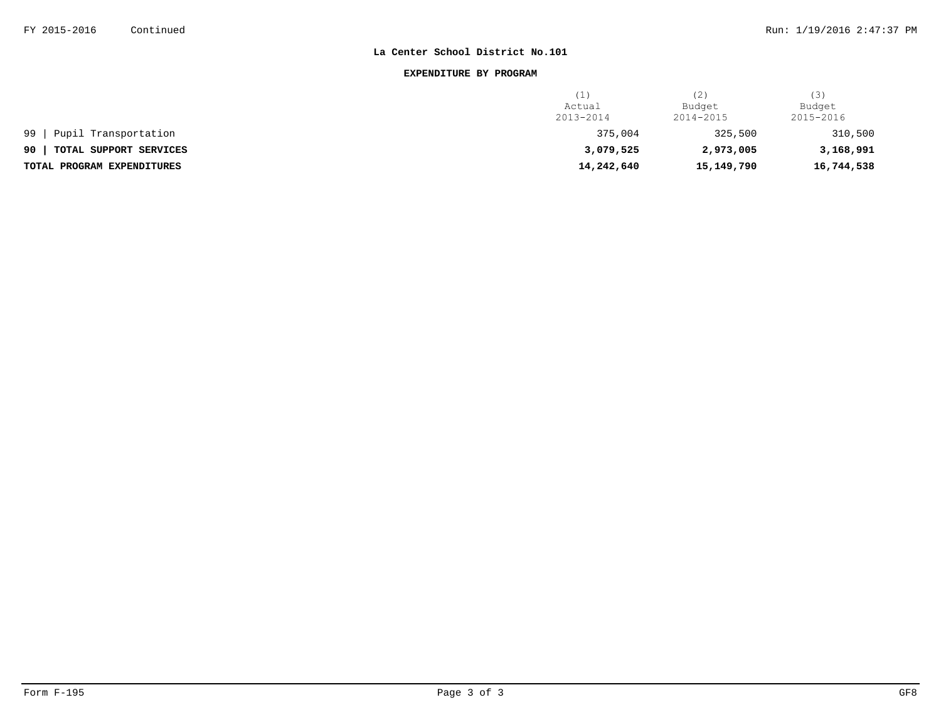### **EXPENDITURE BY PROGRAM**

|                              | .          | (2)        | (3)        |
|------------------------------|------------|------------|------------|
|                              | Actual     | Budget     | Budget     |
|                              | 2013-2014  | 2014-2015  | 2015-2016  |
| Pupil Transportation<br>99   | 375,004    | 325,500    | 310,500    |
| 90<br>TOTAL SUPPORT SERVICES | 3,079,525  | 2,973,005  | 3,168,991  |
| TOTAL PROGRAM EXPENDITURES   | 14,242,640 | 15,149,790 | 16,744,538 |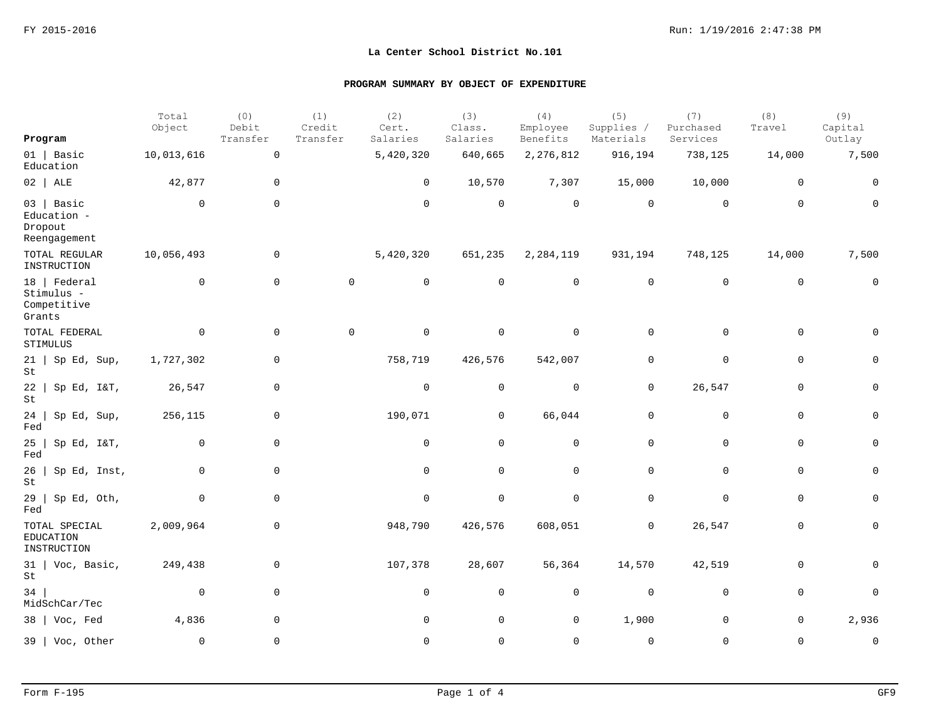|                                                       | Total<br>Object | (0)<br>Debit        | (1)<br>Credit | (2)<br>Cert. | (3)<br>Class. | (4)<br>Employee | (5)<br>Supplies /   | (7)<br>Purchased    | (8)<br>Travel | (9)<br>Capital |
|-------------------------------------------------------|-----------------|---------------------|---------------|--------------|---------------|-----------------|---------------------|---------------------|---------------|----------------|
| Program                                               |                 | Transfer            | Transfer      | Salaries     | Salaries      | Benefits        | Materials           | Services            |               | Outlay         |
| $01$   Basic<br>Education                             | 10,013,616      | $\mathsf 0$         |               | 5,420,320    | 640,665       | 2, 276, 812     | 916,194             | 738,125             | 14,000        | 7,500          |
| $02$   ALE                                            | 42,877          | 0                   |               | 0            | 10,570        | 7,307           | 15,000              | 10,000              | 0             | 0              |
| $03$ Basic<br>Education -<br>Dropout<br>Reengagement  | $\overline{0}$  | $\mathbf 0$         |               | $\mathbf 0$  | $\mathsf 0$   | $\mathsf{O}$    | $\mathbf 0$         | $\mathbf 0$         | $\mathbf 0$   | $\mathbf 0$    |
| TOTAL REGULAR<br>INSTRUCTION                          | 10,056,493      | 0                   |               | 5,420,320    | 651,235       | 2,284,119       | 931,194             | 748,125             | 14,000        | 7,500          |
| $18$   Federal<br>Stimulus -<br>Competitive<br>Grants | $\mathbf 0$     | $\mathbf 0$         | $\mathbb O$   | $\mathsf{O}$ | $\mathbf 0$   | $\mathsf{O}$    | $\mathsf 0$         | $\mathsf{O}$        | $\mathbf 0$   | $\mathbf 0$    |
| TOTAL FEDERAL<br>STIMULUS                             | $\mathbf 0$     | $\mathbf 0$         | $\mathbf 0$   | $\mathbf 0$  | $\mathbf 0$   | $\mathbf 0$     | $\mathbf 0$         | $\mathbf 0$         | $\mathbf 0$   | $\mathbf 0$    |
| $21$   Sp Ed, Sup,<br>St                              | 1,727,302       | $\mathbf 0$         |               | 758,719      | 426,576       | 542,007         | $\mathbf 0$         | $\mathbf 0$         | $\mathbf 0$   | $\mathbf 0$    |
| 22<br>Sp Ed, I&T,<br>$\operatorname{\mathsf{St}}$     | 26,547          | $\mathbf 0$         |               | $\mathbf 0$  | $\mathbf 0$   | $\mathbf 0$     | $\mathbf 0$         | 26,547              | $\mathbf 0$   | $\mathbf 0$    |
| 24<br>Sp Ed, Sup,<br>Fed                              | 256,115         | $\mathbf 0$         |               | 190,071      | $\mathbf 0$   | 66,044          | $\mathbf 0$         | 0                   | $\mathbf 0$   | $\mathbf 0$    |
| 25<br>Sp Ed, I&T,<br>Fed                              | $\mathbf 0$     | $\mathbf 0$         |               | $\mathbf 0$  | $\mathbf 0$   | 0               | $\mathbf 0$         | $\mathbf 0$         | $\mathbf 0$   | $\mathsf{O}$   |
| 26<br>Sp Ed, Inst,<br>St                              | $\mathbf 0$     | $\mathbf 0$         |               | $\mathbf 0$  | $\mathbf 0$   | $\mathbf 0$     | $\mathbf 0$         | $\mathbf 0$         | $\mathbf 0$   | $\mathbf 0$    |
| 29<br>Sp Ed, Oth,<br>Fed                              | $\mathbf 0$     | $\mathsf{O}\xspace$ |               | $\mathsf 0$  | $\mathsf 0$   | $\mathsf{O}$    | $\mathsf{O}\xspace$ | $\mathsf{O}\xspace$ | $\mathbf 0$   | $\mathsf{O}$   |
| TOTAL SPECIAL<br><b>EDUCATION</b><br>INSTRUCTION      | 2,009,964       | $\mathsf{O}$        |               | 948,790      | 426,576       | 608,051         | 0                   | 26,547              | $\mathbf 0$   | $\mathsf{O}$   |
| $31$   Voc, Basic,<br>St                              | 249,438         | 0                   |               | 107,378      | 28,607        | 56,364          | 14,570              | 42,519              | $\mathbf 0$   | $\mathbf 0$    |
| 34<br>MidSchCar/Tec                                   | $\mathbf 0$     | $\mathbf 0$         |               | $\mathbf 0$  | $\mathbf 0$   | $\mathsf{O}$    | $\mathbf 0$         | $\mathbf 0$         | $\mathbf 0$   | $\mathbf 0$    |
| 38   Voc, Fed                                         | 4,836           | $\mathbf 0$         |               | $\mathbf 0$  | $\mathbf 0$   | 0               | 1,900               | 0                   | $\mathbf 0$   | 2,936          |
| 39   Voc, Other                                       | $\Omega$        | $\mathbf 0$         |               | $\Omega$     | $\Omega$      | $\mathbf 0$     | $\mathbf 0$         | $\mathbf 0$         | $\Omega$      | $\mathbf 0$    |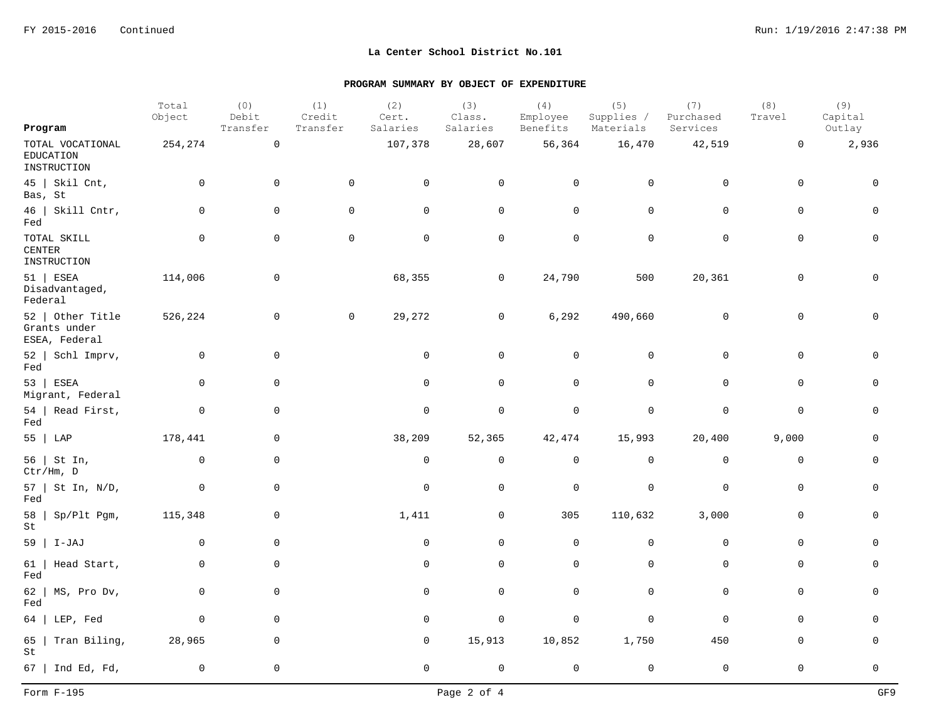|                                                     | Total<br>Object | (0)<br>Debit | (1)<br>Credit       | (2)<br>Cert. | (3)<br>Class.  | (4)<br>Employee     | (5)<br>Supplies / | (7)<br>Purchased    | (8)<br>Travel       | (9)<br>Capital |
|-----------------------------------------------------|-----------------|--------------|---------------------|--------------|----------------|---------------------|-------------------|---------------------|---------------------|----------------|
| Program                                             |                 | Transfer     | Transfer            | Salaries     | Salaries       | Benefits            | Materials         | Services            |                     | Outlay         |
| TOTAL VOCATIONAL<br><b>EDUCATION</b><br>INSTRUCTION | 254,274         | $\mathsf{O}$ |                     | 107,378      | 28,607         | 56,364              | 16,470            | 42,519              | $\mathsf{O}$        | 2,936          |
| $45$   Skil Cnt,<br>Bas, St                         | $\mathbf 0$     | $\mathbf 0$  | $\mathbf 0$         | 0            | 0              | 0                   | 0                 | $\mathsf{O}$        | 0                   | 0              |
| $46$   Skill Cntr,<br>Fed                           | 0               | $\mathbf 0$  | 0                   | $\mathsf{O}$ | $\mathsf{O}$   | $\mathsf{O}$        | $\mathsf 0$       | $\mathsf{O}$        | $\mathbf 0$         | $\mathbf 0$    |
| TOTAL SKILL<br><b>CENTER</b><br>INSTRUCTION         | $\mathbf 0$     | $\mathbf 0$  | $\mathsf{O}\xspace$ | $\mathsf 0$  | $\mathsf 0$    | $\mathsf{O}\xspace$ | $\mathsf 0$       | $\mathsf{O}\xspace$ | $\mathsf{O}\xspace$ | $\mathbf 0$    |
| $51$   ESEA<br>Disadvantaged,<br>Federal            | 114,006         | 0            |                     | 68,355       | 0              | 24,790              | 500               | 20,361              | $\mathbf 0$         | $\mathbf 0$    |
| 52   Other Title<br>Grants under<br>ESEA, Federal   | 526,224         | 0            | $\mathsf{O}$        | 29,272       | 0              | 6,292               | 490,660           | $\mathsf{O}$        | $\mathbf 0$         | 0              |
| 52   Schl Imprv,<br>Fed                             | $\mathbf 0$     | $\mathbf 0$  |                     | 0            | $\mathbf 0$    | 0                   | $\overline{0}$    | $\mathbf 0$         | $\mathbf 0$         | $\Omega$       |
| $53$ ESEA<br>Migrant, Federal                       | $\mathbf{0}$    | $\mathbf 0$  |                     | $\mathbf 0$  | $\mathbf 0$    | 0                   | $\mathbf 0$       | $\mathbf 0$         | $\mathbf 0$         | $\mathbf 0$    |
| $54$   Read First,<br>Fed                           | $\mathbf 0$     | $\mathbf 0$  |                     | $\mathbf 0$  | $\mathbf 0$    | $\mathbf 0$         | $\mathbf 0$       | $\mathbf 0$         | $\mathbf 0$         | $\mathbf 0$    |
| 55   LAP                                            | 178,441         | $\mathbf 0$  |                     | 38,209       | 52,365         | 42,474              | 15,993            | 20,400              | 9,000               | $\mathbf 0$    |
| 56   St In,<br>Ctr/Hm, D                            | $\overline{0}$  | $\mathbf 0$  |                     | $\mathbf 0$  | $\overline{0}$ | $\mathsf{O}$        | $\overline{0}$    | $\mathsf{O}\xspace$ | $\mathbf 0$         | $\mathbf 0$    |
| $57$   St In, N/D,<br>Fed                           | $\mathbf 0$     | $\mathbf 0$  |                     | 0            | $\mathbf 0$    | 0                   | $\overline{0}$    | $\mathbf 0$         | $\mathbf 0$         | $\mathbf 0$    |
| 58<br>Sp/Plt Pgm,<br>St                             | 115,348         | $\mathbf 0$  |                     | 1,411        | 0              | 305                 | 110,632           | 3,000               | $\mathbf 0$         | $\mathbf 0$    |
| $59$   I-JAJ                                        | $\mathbf 0$     | $\mathbf 0$  |                     | $\mathbf 0$  | $\overline{0}$ | $\mathbf 0$         | $\mathbf 0$       | $\mathbf 0$         | $\mathbf 0$         | $\mathbf 0$    |
| 61<br>Head Start,<br>Fed                            | 0               | $\mathbf 0$  |                     | $\mathbf 0$  | $\mathbf 0$    | $\mathbf 0$         | $\mathbf 0$       | $\mathbf 0$         | $\mathbf 0$         | $\mathbf 0$    |
| 62<br>MS, Pro Dv,<br>Fed                            | $\mathbf 0$     | $\mathbf 0$  |                     | $\mathbf 0$  | $\mathbf 0$    | $\mathsf{O}$        | $\overline{0}$    | $\mathbf 0$         | $\mathbf 0$         | $\mathbf 0$    |
| LEP, Fed<br>64                                      | $\overline{0}$  | $\mathbf 0$  |                     | $\mathbf 0$  | $\mathbf 0$    | 0                   | $\mathbf 0$       | $\mathbf 0$         | $\mathbf 0$         | $\Omega$       |
| Tran Biling,<br>65<br>St                            | 28,965          | $\mathbf 0$  |                     | 0            | 15,913         | 10,852              | 1,750             | 450                 | $\mathbf 0$         | 0              |
| 67   Ind Ed, Fd,                                    | $\mathbf 0$     | $\mathbf 0$  |                     | $\mathbf 0$  | $\mathbf 0$    | $\mathsf 0$         | $\mathbf 0$       | $\mathbf 0$         | $\mathsf 0$         | $\mathsf{O}$   |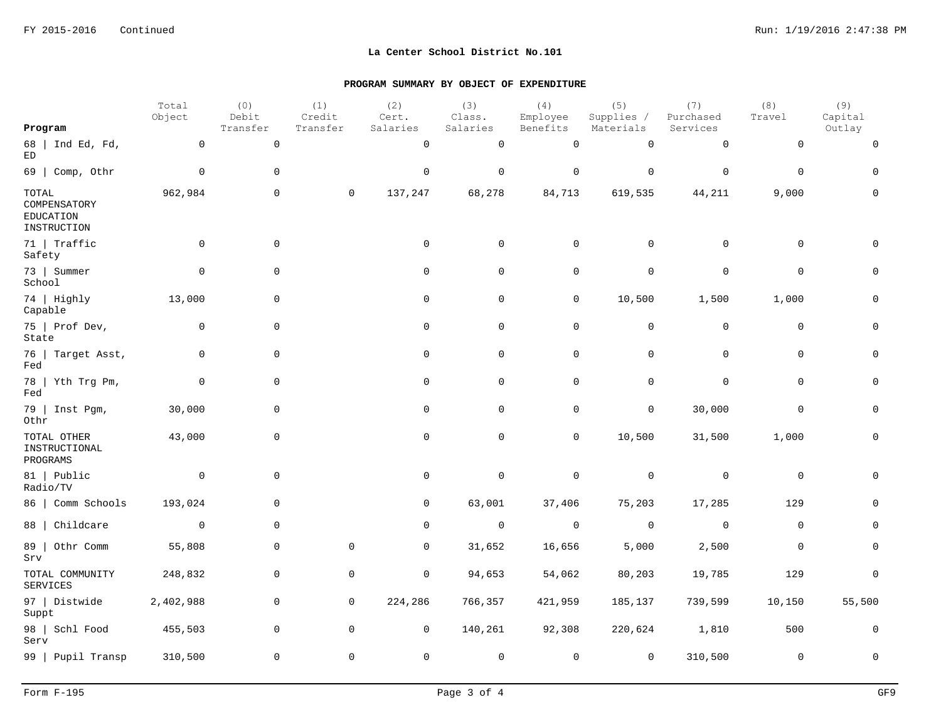| Program                                           | Total<br>Object | (0)<br>Debit<br>Transfer | (1)<br>Credit<br>Transfer | (2)<br>Cert.<br>Salaries | (3)<br>Class.<br>Salaries | (4)<br>Employee<br>Benefits | (5)<br>Supplies /<br>Materials | (7)<br>Purchased<br>Services | (8)<br>Travel | (9)<br>Capital<br>Outlay |
|---------------------------------------------------|-----------------|--------------------------|---------------------------|--------------------------|---------------------------|-----------------------------|--------------------------------|------------------------------|---------------|--------------------------|
|                                                   |                 |                          |                           |                          |                           |                             |                                |                              |               |                          |
| 68   Ind Ed, Fd,<br>$\mathop{\rm ED}\nolimits$    | $\mathbf 0$     | $\mathsf 0$              |                           | $\mathsf{O}\xspace$      | $\mathsf{O}$              | $\mathsf{O}\xspace$         | $\mathsf{O}$                   | $\mathsf{O}\xspace$          | $\mathbf 0$   | $\mathbf 0$              |
| $69$   Comp, Othr                                 | $\mathbb O$     | $\mathbf 0$              |                           | $\mathbf 0$              | $\mathsf 0$               | $\mathsf{O}$                | $\mathbf 0$                    | $\mathbf 0$                  | $\mathbf 0$   | $\mathbf 0$              |
| TOTAL<br>COMPENSATORY<br>EDUCATION<br>INSTRUCTION | 962,984         | $\mathbf 0$              | $\mathbf 0$               | 137,247                  | 68,278                    | 84,713                      | 619,535                        | 44,211                       | 9,000         | 0                        |
| $71$   Traffic<br>Safety                          | $\mathbf 0$     | 0                        |                           | $\mathsf{O}$             | $\mathbf 0$               | $\mathbf 0$                 | $\mathbf 0$                    | $\mathsf{O}$                 | $\mathbf 0$   | $\mathbf 0$              |
| 73   Summer<br>School                             | 0               | $\mathbf 0$              |                           | $\mathbf 0$              | $\mathbf 0$               | $\mathbf 0$                 | $\mathbf 0$                    | $\mathbf 0$                  | $\mathbf 0$   | $\mathbf 0$              |
| 74   Highly<br>Capable                            | 13,000          | $\mathbf 0$              |                           | 0                        | $\mathbf 0$               | 0                           | 10,500                         | 1,500                        | 1,000         | 0                        |
| 75   Prof Dev,<br>State                           | $\mathbf 0$     | $\mathsf{O}\xspace$      |                           | $\mathsf{O}$             | 0                         | $\mathsf{O}$                | $\mathbf 0$                    | $\mathsf 0$                  | $\mathbf 0$   | 0                        |
| 76   Target Asst,<br>Fed                          | $\mathbf 0$     | $\mathbf 0$              |                           | 0                        | 0                         | $\mathsf{O}$                | $\mathbf 0$                    | $\mathbf 0$                  | $\mathbf 0$   | $\mathsf{O}$             |
| 78   Yth Trg Pm,<br>Fed                           | $\mathbf 0$     | $\mathbf 0$              |                           | $\mathbf 0$              | $\mathbf 0$               | $\mathsf{O}$                | $\mathbf 0$                    | $\mathbf 0$                  | $\mathbf 0$   | $\mathbf 0$              |
| 79   Inst Pgm,<br>Othr                            | 30,000          | $\mathbf 0$              |                           | 0                        | 0                         | 0                           | $\mathbf 0$                    | 30,000                       | 0             | 0                        |
| TOTAL OTHER<br>INSTRUCTIONAL<br>PROGRAMS          | 43,000          | $\mathbf 0$              |                           | $\mathbf 0$              | $\mathbf 0$               | 0                           | 10,500                         | 31,500                       | 1,000         | 0                        |
| 81   Public<br>Radio/TV                           | $\mathbf 0$     | $\mathbf 0$              |                           | $\mathbf 0$              | $\mathbf 0$               | $\mathsf{O}$                | $\mathbf 0$                    | $\mathbf 0$                  | $\mathbf 0$   | $\mathbf 0$              |
| 86   Comm Schools                                 | 193,024         | $\mathbf 0$              |                           | $\mathbf 0$              | 63,001                    | 37,406                      | 75,203                         | 17,285                       | 129           | $\mathbf 0$              |
| 88   Childcare                                    | $\overline{0}$  | $\mathbf 0$              |                           | $\mathbf 0$              | $\mathbf 0$               | $\mathbf 0$                 | $\mathbf 0$                    | $\mathbf 0$                  | $\mathbf 0$   | $\Omega$                 |
| 89   Othr Comm<br>Srv                             | 55,808          | $\mathbf 0$              | $\mathbf 0$               | $\mathsf{O}$             | 31,652                    | 16,656                      | 5,000                          | 2,500                        | $\mathbf 0$   | $\mathbf 0$              |
| TOTAL COMMUNITY<br>SERVICES                       | 248,832         | $\mathbf 0$              | $\mathbf 0$               | $\mathsf{O}$             | 94,653                    | 54,062                      | 80,203                         | 19,785                       | 129           | $\mathbf 0$              |
| 97   Distwide<br>Suppt                            | 2,402,988       | $\mathbf 0$              | $\mathsf{O}$              | 224,286                  | 766,357                   | 421,959                     | 185,137                        | 739,599                      | 10,150        | 55,500                   |
| 98   Schl Food<br>Serv                            | 455,503         | $\mathbf 0$              | $\mathsf{O}$              | $\mathsf{O}$             | 140,261                   | 92,308                      | 220,624                        | 1,810                        | 500           | $\mathsf{O}$             |
| 99   Pupil Transp                                 | 310,500         | $\mathsf 0$              | $\mathsf 0$               | $\mathbf 0$              | $\mathsf 0$               | $\mathsf{O}$                | $\mathbf 0$                    | 310,500                      | $\mathbf 0$   | $\mathbf 0$              |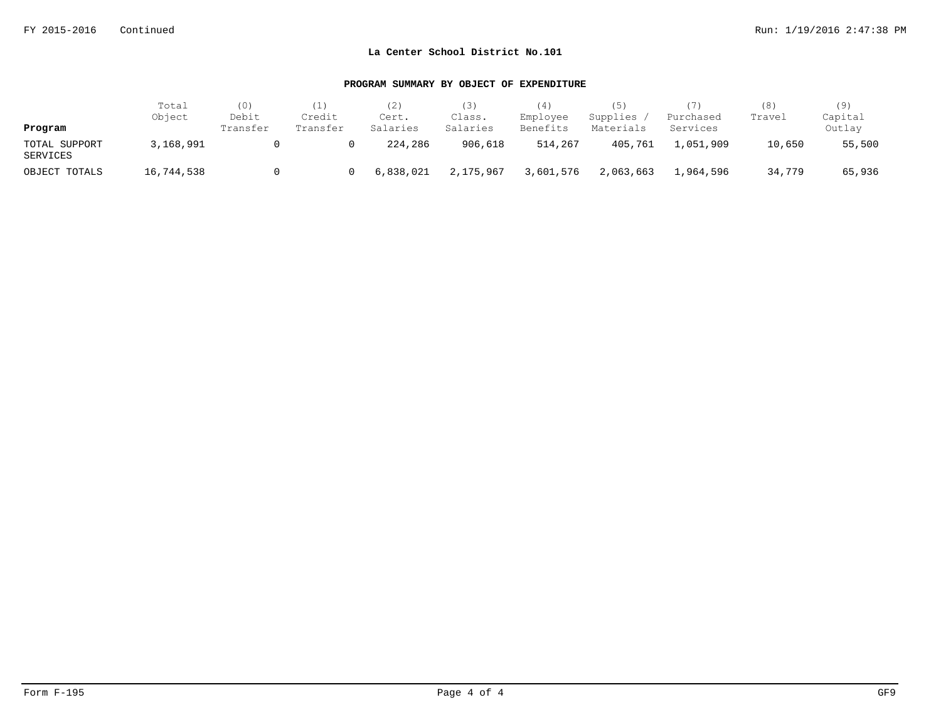| Program                   | Total<br>Object | (0)<br>Debit<br>Transfer | (1)<br>Credit<br>Transfer | (2)<br>Cert.<br>Salaries | 3)<br>Class.<br>Salaries | (4)<br>Employee<br>Benefits | (5)<br>Supplies<br>Materials | (7)<br>Purchased<br>Services | (8)<br>Travel | (9)<br>Capital<br>Outlay |
|---------------------------|-----------------|--------------------------|---------------------------|--------------------------|--------------------------|-----------------------------|------------------------------|------------------------------|---------------|--------------------------|
| TOTAL SUPPORT<br>SERVICES | 3,168,991       |                          |                           | 224,286                  | 906,618                  | 514,267                     | 405,761                      | 1,051,909                    | 10,650        | 55,500                   |
| OBJECT TOTALS             | 16,744,538      |                          |                           | 6,838,021                | 2,175,967                | 3,601,576                   | 2,063,663                    | 1,964,596                    | 34,779        | 65,936                   |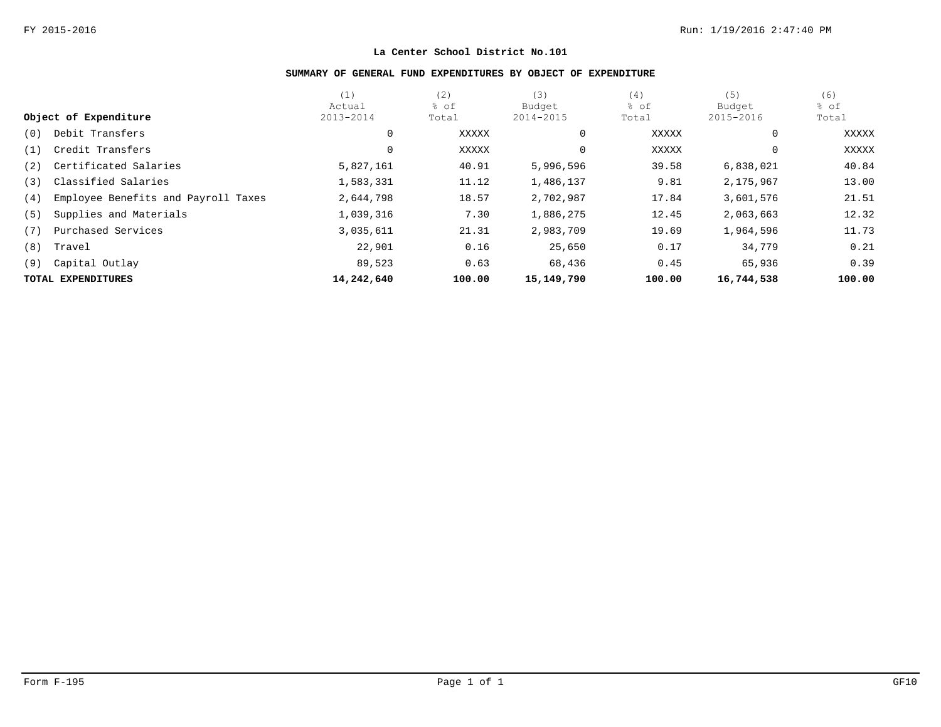## **SUMMARY OF GENERAL FUND EXPENDITURES BY OBJECT OF EXPENDITURE**

|     |                                     | (1)        | (2)    | (3)        | (4)    | (5)          | (6)    |
|-----|-------------------------------------|------------|--------|------------|--------|--------------|--------|
|     |                                     | Actual     | % of   | Budget     | % of   | Budget       | % of   |
|     | Object of Expenditure               | 2013-2014  | Total  | 2014-2015  | Total  | 2015-2016    | Total  |
| (0) | Debit Transfers                     | 0          | XXXXX  | 0          | XXXXX  | $\mathbf{0}$ | XXXXX  |
| (1) | Credit Transfers                    | 0          | XXXXX  |            | XXXXX  | $\mathbf{0}$ | XXXXX  |
| (2) | Certificated Salaries               | 5,827,161  | 40.91  | 5,996,596  | 39.58  | 6,838,021    | 40.84  |
| (3) | Classified Salaries                 | 1,583,331  | 11.12  | 1,486,137  | 9.81   | 2,175,967    | 13.00  |
| (4) | Employee Benefits and Payroll Taxes | 2,644,798  | 18.57  | 2,702,987  | 17.84  | 3,601,576    | 21.51  |
| (5) | Supplies and Materials              | 1,039,316  | 7.30   | 1,886,275  | 12.45  | 2,063,663    | 12.32  |
| (7) | Purchased Services                  | 3,035,611  | 21.31  | 2,983,709  | 19.69  | 1,964,596    | 11.73  |
| (8) | Travel                              | 22,901     | 0.16   | 25,650     | 0.17   | 34,779       | 0.21   |
| (9) | Capital Outlay                      | 89,523     | 0.63   | 68,436     | 0.45   | 65,936       | 0.39   |
|     | TOTAL EXPENDITURES                  | 14,242,640 | 100.00 | 15,149,790 | 100.00 | 16,744,538   | 100.00 |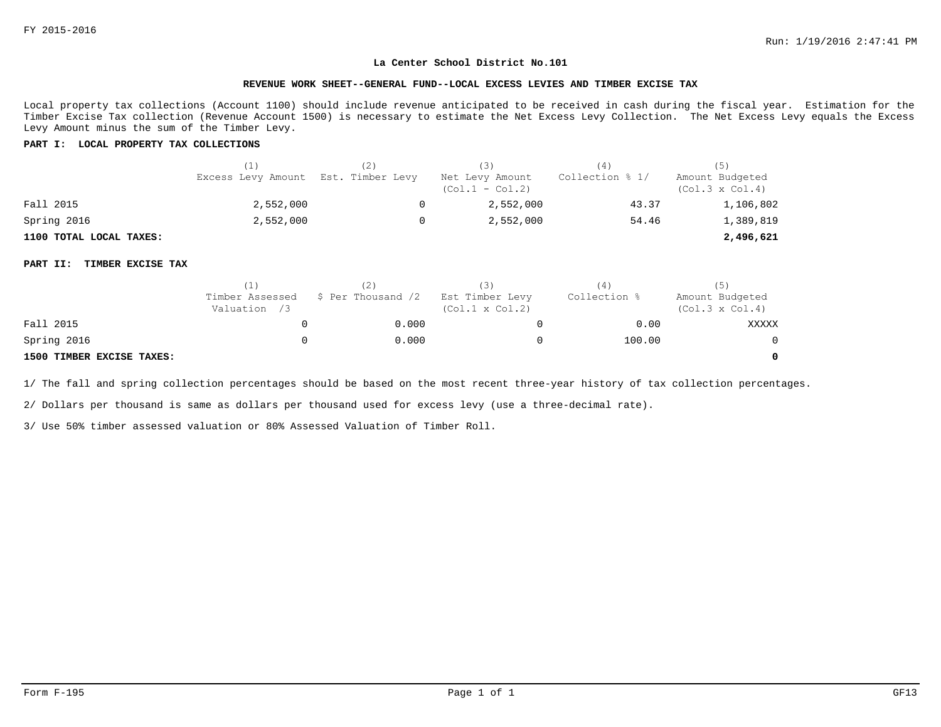#### **REVENUE WORK SHEET--GENERAL FUND--LOCAL EXCESS LEVIES AND TIMBER EXCISE TAX**

Local property tax collections (Account 1100) should include revenue anticipated to be received in cash during the fiscal year. Estimation for the Timber Excise Tax collection (Revenue Account 1500) is necessary to estimate the Net Excess Levy Collection. The Net Excess Levy equals the Excess Levy Amount minus the sum of the Timber Levy.

#### **PART I: LOCAL PROPERTY TAX COLLECTIONS**

|                         | (1)                                 | (3)                                  | (4)             | (5)                                       |  |
|-------------------------|-------------------------------------|--------------------------------------|-----------------|-------------------------------------------|--|
|                         | Excess Levy Amount Est. Timber Levy | Net Levy Amount<br>$(Col.1 - Col.2)$ | Collection % 1/ | Amount Budgeted<br>$(Col.3 \times Col.4)$ |  |
| Fall 2015               | 2,552,000                           | 2,552,000                            | 43.37           | 1,106,802                                 |  |
| Spring 2016             | 2,552,000                           | 2,552,000                            | 54.46           | 1,389,819                                 |  |
| 1100 TOTAL LOCAL TAXES: |                                     |                                      |                 | 2,496,621                                 |  |

#### **PART II: TIMBER EXCISE TAX**

|                           |                                 |                    | (3)                                       | 4            | (5)                                       |
|---------------------------|---------------------------------|--------------------|-------------------------------------------|--------------|-------------------------------------------|
|                           | Timber Assessed<br>Valuation /3 | \$ Per Thousand /2 | Est Timber Levy<br>$(Col.1 \times Col.2)$ | Collection % | Amount Budgeted<br>$(Col.3 \times Col.4)$ |
| Fall 2015                 |                                 | 0.000              |                                           | 0.00         | XXXXX                                     |
| Spring 2016               |                                 | 0.000              |                                           | 100.00       | $\Omega$                                  |
| 1500 TIMBER EXCISE TAXES: |                                 |                    |                                           |              | $\Omega$                                  |

1/ The fall and spring collection percentages should be based on the most recent three-year history of tax collection percentages.

2/ Dollars per thousand is same as dollars per thousand used for excess levy (use a three-decimal rate).

3/ Use 50% timber assessed valuation or 80% Assessed Valuation of Timber Roll.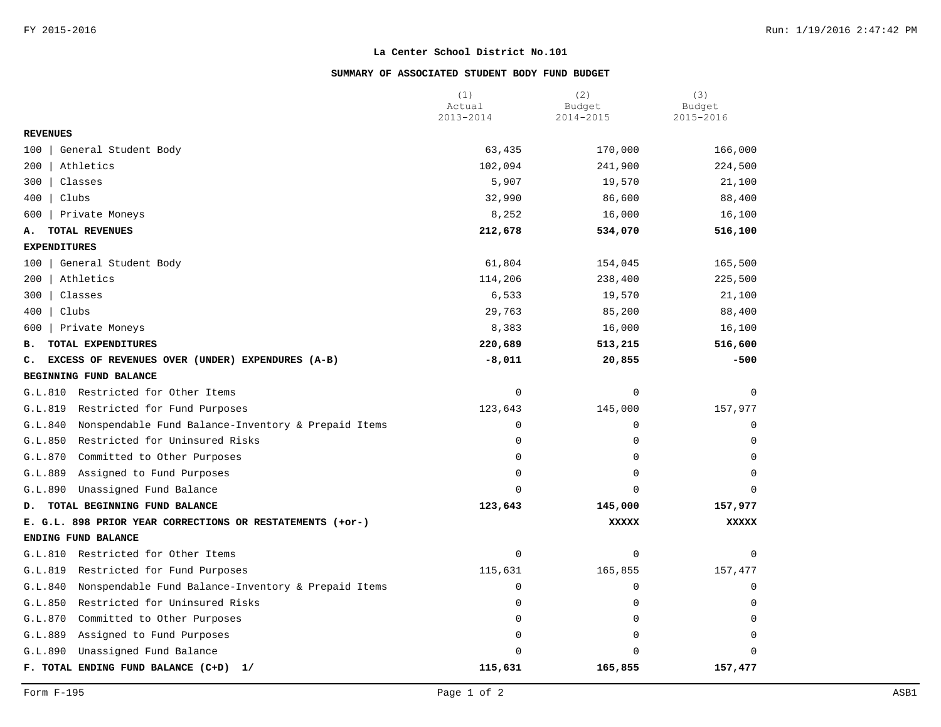## **SUMMARY OF ASSOCIATED STUDENT BODY FUND BUDGET**

|                                                                | (1)<br>Actual | (2)<br>Budget | (3)<br>Budget |
|----------------------------------------------------------------|---------------|---------------|---------------|
|                                                                | 2013-2014     | 2014-2015     | 2015-2016     |
| <b>REVENUES</b>                                                |               |               |               |
| 100<br>General Student Body                                    | 63,435        | 170,000       | 166,000       |
| 200<br>Athletics                                               | 102,094       | 241,900       | 224,500       |
| 300<br>Classes                                                 | 5,907         | 19,570        | 21,100        |
| 400<br>Clubs                                                   | 32,990        | 86,600        | 88,400        |
| 600<br>Private Moneys                                          | 8,252         | 16,000        | 16,100        |
| TOTAL REVENUES<br>А.                                           | 212,678       | 534,070       | 516,100       |
| <b>EXPENDITURES</b>                                            |               |               |               |
| General Student Body<br>100                                    | 61,804        | 154,045       | 165,500       |
| Athletics<br>200                                               | 114,206       | 238,400       | 225,500       |
| 300<br>Classes                                                 | 6,533         | 19,570        | 21,100        |
| 400<br>Clubs                                                   | 29,763        | 85,200        | 88,400        |
| Private Moneys<br>600                                          | 8,383         | 16,000        | 16,100        |
| TOTAL EXPENDITURES<br>в.                                       | 220,689       | 513,215       | 516,600       |
| EXCESS OF REVENUES OVER (UNDER) EXPENDURES (A-B)<br>c.         | $-8,011$      | 20,855        | $-500$        |
| BEGINNING FUND BALANCE                                         |               |               |               |
| G.L.810<br>Restricted for Other Items                          | $\mathsf 0$   | $\mathbf 0$   | $\mathbf 0$   |
| G.L.819<br>Restricted for Fund Purposes                        | 123,643       | 145,000       | 157,977       |
| Nonspendable Fund Balance-Inventory & Prepaid Items<br>G.L.840 | $\mathbf 0$   | $\mathbf 0$   | $\Omega$      |
| Restricted for Uninsured Risks<br>G.L.850                      | $\Omega$      | 0             | $\Omega$      |
| Committed to Other Purposes<br>G.L.870                         | $\mathbf 0$   | $\mathbf 0$   | $\Omega$      |
| G.L.889<br>Assigned to Fund Purposes                           | $\mathbf 0$   | $\mathbf 0$   | $\Omega$      |
| Unassigned Fund Balance<br>G.L.890                             | $\Omega$      | $\Omega$      | $\Omega$      |
| TOTAL BEGINNING FUND BALANCE<br>D.                             | 123,643       | 145,000       | 157,977       |
| E. G.L. 898 PRIOR YEAR CORRECTIONS OR RESTATEMENTS (+or-)      |               | <b>XXXXX</b>  | <b>XXXXX</b>  |
| ENDING FUND BALANCE                                            |               |               |               |
| Restricted for Other Items<br>G.L.810                          | $\mathbf 0$   | 0             | 0             |
| G.L.819<br>Restricted for Fund Purposes                        | 115,631       | 165,855       | 157,477       |
| G.L.840<br>Nonspendable Fund Balance-Inventory & Prepaid Items | $\mathbf 0$   | $\mathbf 0$   | 0             |
| G.L.850<br>Restricted for Uninsured Risks                      | $\mathbf 0$   | $\mathbf 0$   | $\Omega$      |
| G.L.870<br>Committed to Other Purposes                         | $\mathbf 0$   | $\mathbf 0$   | $\mathbf 0$   |
| G.L.889<br>Assigned to Fund Purposes                           | $\mathbf 0$   | 0             | $\Omega$      |
| G.L.890<br>Unassigned Fund Balance                             | $\Omega$      | $\Omega$      | $\Omega$      |
| F. TOTAL ENDING FUND BALANCE (C+D)<br>1/                       | 115,631       | 165,855       | 157,477       |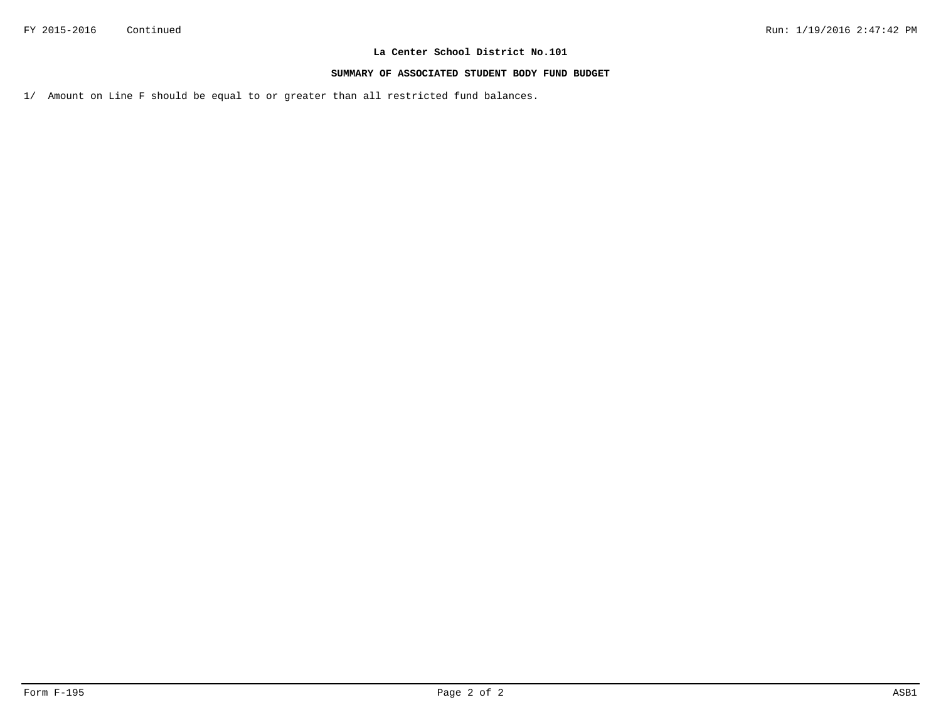#### **SUMMARY OF ASSOCIATED STUDENT BODY FUND BUDGET**

1/ Amount on Line F should be equal to or greater than all restricted fund balances.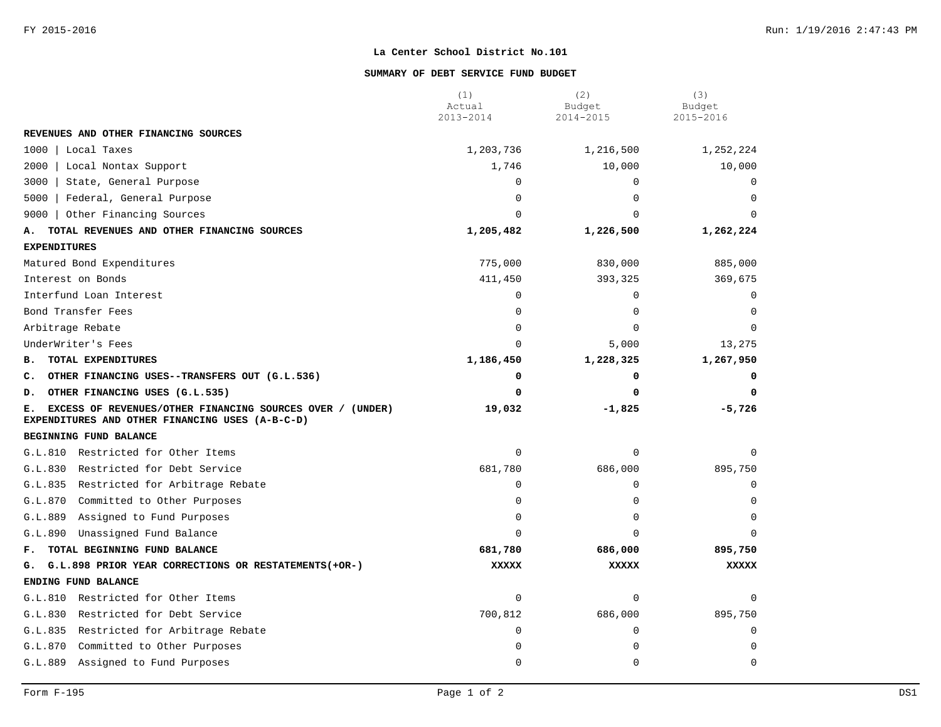#### **SUMMARY OF DEBT SERVICE FUND BUDGET**

|                                                                                                                    | (1)<br>Actual<br>2013-2014 | (2)<br>Budget<br>2014-2015 | (3)<br>Budget<br>2015-2016 |
|--------------------------------------------------------------------------------------------------------------------|----------------------------|----------------------------|----------------------------|
| REVENUES AND OTHER FINANCING SOURCES                                                                               |                            |                            |                            |
| 1000   Local Taxes                                                                                                 | 1,203,736                  | 1,216,500                  | 1,252,224                  |
| 2000   Local Nontax Support                                                                                        | 1,746                      | 10,000                     | 10,000                     |
| 3000<br>State, General Purpose                                                                                     | 0                          | $\mathbf 0$                | 0                          |
| 5000<br>Federal, General Purpose                                                                                   | 0                          | $\mathbf 0$                | $\Omega$                   |
| 9000   Other Financing Sources                                                                                     | $\Omega$                   | $\Omega$                   | $\Omega$                   |
| TOTAL REVENUES AND OTHER FINANCING SOURCES<br>А.                                                                   | 1,205,482                  | 1,226,500                  | 1,262,224                  |
| <b>EXPENDITURES</b>                                                                                                |                            |                            |                            |
| Matured Bond Expenditures                                                                                          | 775,000                    | 830,000                    | 885,000                    |
| Interest on Bonds                                                                                                  | 411,450                    | 393,325                    | 369,675                    |
| Interfund Loan Interest                                                                                            | 0                          | $\mathbf 0$                | $\Omega$                   |
| Bond Transfer Fees                                                                                                 | $\Omega$                   | $\Omega$                   | $\Omega$                   |
| Arbitrage Rebate                                                                                                   | $\Omega$                   | $\Omega$                   | $\Omega$                   |
| UnderWriter's Fees                                                                                                 | $\Omega$                   | 5,000                      | 13,275                     |
| TOTAL EXPENDITURES<br>в.                                                                                           | 1,186,450                  | 1,228,325                  | 1,267,950                  |
| C. OTHER FINANCING USES--TRANSFERS OUT (G.L.536)                                                                   | 0                          | 0                          | 0                          |
| OTHER FINANCING USES (G.L.535)<br>D.                                                                               | $\Omega$                   | 0                          | 0                          |
| EXCESS OF REVENUES/OTHER FINANCING SOURCES OVER / (UNDER)<br>Е.<br>EXPENDITURES AND OTHER FINANCING USES (A-B-C-D) | 19,032                     | $-1,825$                   | $-5,726$                   |
| BEGINNING FUND BALANCE                                                                                             |                            |                            |                            |
| G.L.810 Restricted for Other Items                                                                                 | $\mathbf 0$                | $\mathbf 0$                | $\Omega$                   |
| G.L.830 Restricted for Debt Service                                                                                | 681,780                    | 686,000                    | 895,750                    |
| G.L.835 Restricted for Arbitrage Rebate                                                                            | 0                          | $\mathbf 0$                | $\Omega$                   |
| G.L.870<br>Committed to Other Purposes                                                                             | $\Omega$                   | $\mathbf 0$                | $\Omega$                   |
| G.L.889<br>Assigned to Fund Purposes                                                                               | $\Omega$                   | $\Omega$                   | $\Omega$                   |
| G.L.890<br>Unassigned Fund Balance                                                                                 | $\Omega$                   | $\Omega$                   | $\Omega$                   |
| TOTAL BEGINNING FUND BALANCE<br>${\bf F}$ .                                                                        | 681,780                    | 686,000                    | 895,750                    |
| G. G.L.898 PRIOR YEAR CORRECTIONS OR RESTATEMENTS (+OR-)                                                           | <b>XXXXX</b>               | <b>XXXXX</b>               | <b>XXXXX</b>               |
| ENDING FUND BALANCE                                                                                                |                            |                            |                            |
| G.L.810 Restricted for Other Items                                                                                 | 0                          | $\mathbf 0$                | $\Omega$                   |
| G.L.830 Restricted for Debt Service                                                                                | 700,812                    | 686,000                    | 895,750                    |
| G.L.835 Restricted for Arbitrage Rebate                                                                            | 0                          | $\Omega$                   | $\Omega$                   |
| G.L.870<br>Committed to Other Purposes                                                                             | $\Omega$                   | $\Omega$                   | $\Omega$                   |
| Assigned to Fund Purposes<br>G.L.889                                                                               | $\Omega$                   | $\Omega$                   | $\Omega$                   |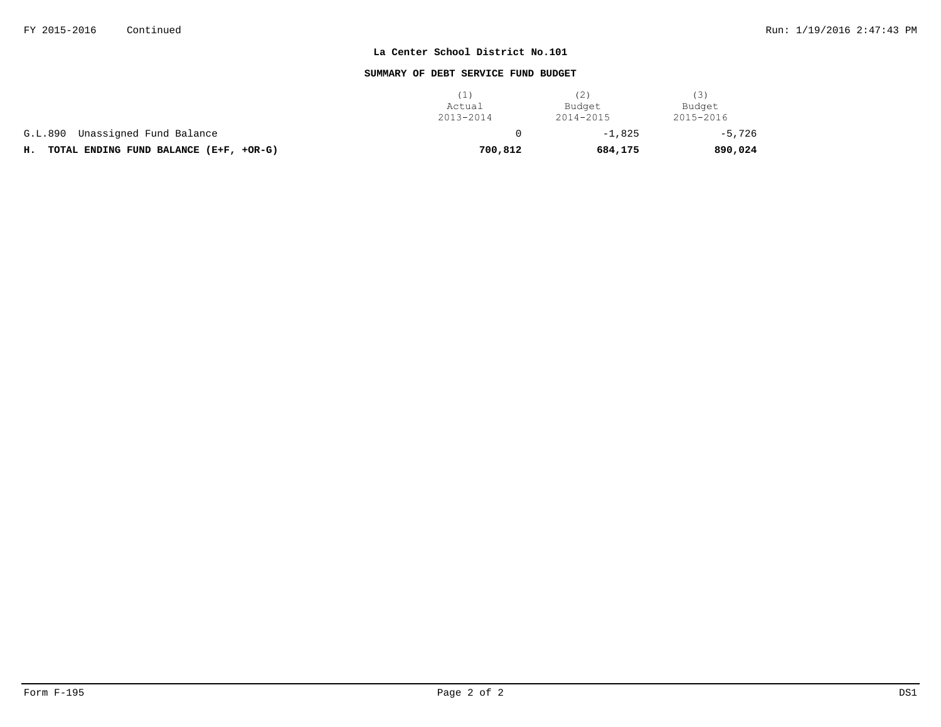#### **SUMMARY OF DEBT SERVICE FUND BUDGET**

|                                              | Actual<br>2013-2014 | (2)<br>Budget<br>2014-2015 | (3)<br>Budget<br>2015-2016 |
|----------------------------------------------|---------------------|----------------------------|----------------------------|
| Unassigned Fund Balance<br>G.L.890           |                     | $-1.825$                   | $-5,726$                   |
| TOTAL ENDING FUND BALANCE (E+F, +OR-G)<br>н. | 700,812             | 684,175                    | 890,024                    |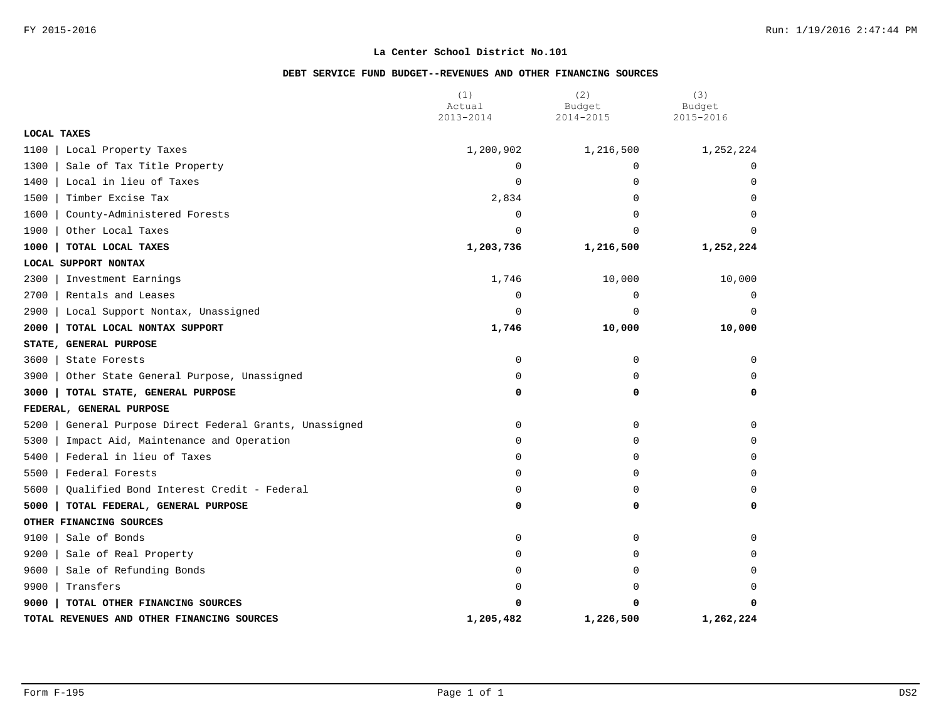## **DEBT SERVICE FUND BUDGET--REVENUES AND OTHER FINANCING SOURCES**

|                                                           | (1)<br>Actual | (2)<br>Budget | (3)<br>Budget |
|-----------------------------------------------------------|---------------|---------------|---------------|
|                                                           | 2013-2014     | 2014-2015     | 2015-2016     |
| LOCAL TAXES                                               |               |               |               |
| 1100<br>Local Property Taxes                              | 1,200,902     | 1,216,500     | 1,252,224     |
| 1300<br>Sale of Tax Title Property                        | $\mathbf 0$   | $\Omega$      | 0             |
| 1400<br>Local in lieu of Taxes                            | 0             | $\mathbf 0$   | $\mathbf 0$   |
| 1500<br>Timber Excise Tax                                 | 2,834         | 0             | 0             |
| 1600<br>County-Administered Forests                       | 0             | $\Omega$      | $\Omega$      |
| 1900<br>Other Local Taxes                                 | $\Omega$      | $\Omega$      | $\Omega$      |
| 1000<br>TOTAL LOCAL TAXES                                 | 1,203,736     | 1,216,500     | 1,252,224     |
| LOCAL SUPPORT NONTAX                                      |               |               |               |
| 2300<br>Investment Earnings                               | 1,746         | 10,000        | 10,000        |
| 2700<br>Rentals and Leases                                | 0             | 0             | 0             |
| 2900<br>Local Support Nontax, Unassigned                  | 0             | $\Omega$      | $\Omega$      |
| 2000<br>TOTAL LOCAL NONTAX SUPPORT                        | 1,746         | 10,000        | 10,000        |
| STATE, GENERAL PURPOSE                                    |               |               |               |
| 3600<br>State Forests                                     | 0             | 0             | 0             |
| 3900<br>Other State General Purpose, Unassigned           | 0             | 0             | 0             |
| 3000<br>TOTAL STATE, GENERAL PURPOSE                      | 0             | 0             | 0             |
| FEDERAL, GENERAL PURPOSE                                  |               |               |               |
| 5200<br>General Purpose Direct Federal Grants, Unassigned | 0             | $\mathbf 0$   | $\Omega$      |
| 5300<br>Impact Aid, Maintenance and Operation             | 0             | 0             | $\Omega$      |
| 5400<br>Federal in lieu of Taxes                          | 0             | 0             | $\mathbf 0$   |
| 5500<br>Federal Forests                                   | 0             | 0             | 0             |
| 5600<br>Qualified Bond Interest Credit - Federal          | 0             | 0             | $\Omega$      |
| 5000<br>TOTAL FEDERAL, GENERAL PURPOSE                    | 0             | 0             | 0             |
| OTHER FINANCING SOURCES                                   |               |               |               |
| 9100<br>Sale of Bonds                                     | 0             | $\mathbf 0$   | $\Omega$      |
| 9200<br>Sale of Real Property                             | 0             | 0             | 0             |
| 9600<br>Sale of Refunding Bonds                           | 0             | 0             | $\Omega$      |
| 9900<br>Transfers                                         | $\Omega$      | $\Omega$      | $\Omega$      |
| 9000<br>TOTAL OTHER FINANCING SOURCES                     | O             | O             | $\Omega$      |
| TOTAL REVENUES AND OTHER FINANCING SOURCES                | 1,205,482     | 1,226,500     | 1,262,224     |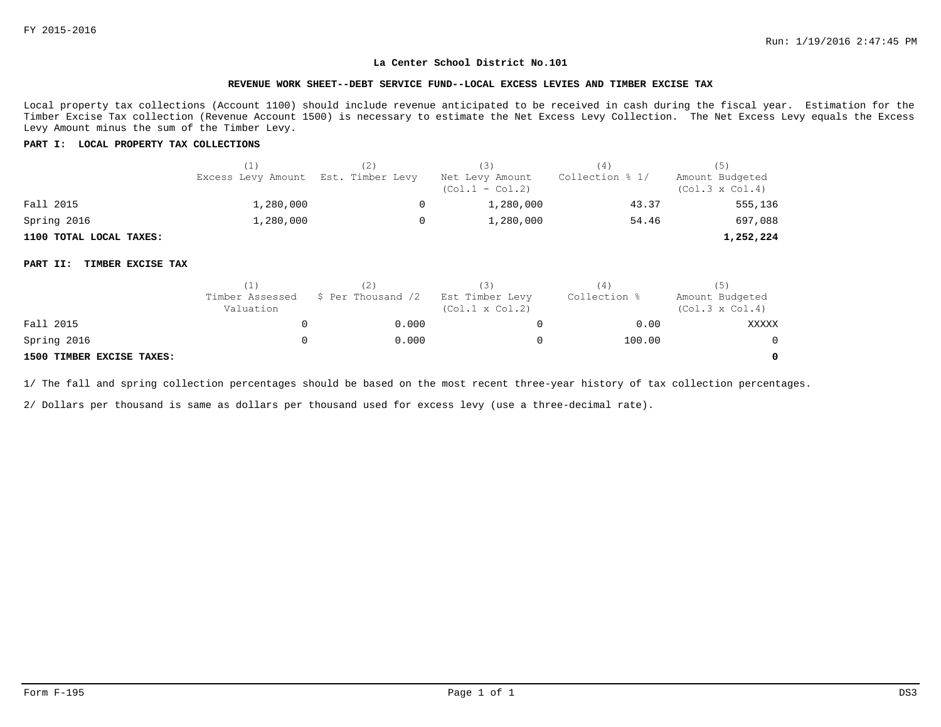#### **REVENUE WORK SHEET--DEBT SERVICE FUND--LOCAL EXCESS LEVIES AND TIMBER EXCISE TAX**

Local property tax collections (Account 1100) should include revenue anticipated to be received in cash during the fiscal year. Estimation for the Timber Excise Tax collection (Revenue Account 1500) is necessary to estimate the Net Excess Levy Collection. The Net Excess Levy equals the Excess Levy Amount minus the sum of the Timber Levy.

#### **PART I: LOCAL PROPERTY TAX COLLECTIONS**

|                         | (1)                                 | TZ ) | (3)                                  | (4)             |                                           |
|-------------------------|-------------------------------------|------|--------------------------------------|-----------------|-------------------------------------------|
|                         | Excess Levy Amount Est. Timber Levy |      | Net Levy Amount<br>$(Co1.1 - Col.2)$ | Collection % 1/ | Amount Budgeted<br>$(Col.3 \times Col.4)$ |
| Fall 2015               | 1,280,000                           |      | 1,280,000                            | 43.37           | 555,136                                   |
| Spring 2016             | 1,280,000                           |      | 1,280,000                            | 54.46           | 697,088                                   |
| 1100 TOTAL LOCAL TAXES: |                                     |      |                                      |                 | 1,252,224                                 |

#### **PART II: TIMBER EXCISE TAX**

|                           |                              |                    | (3)                                       | $\left( 4\right)$ | (5)                                       |
|---------------------------|------------------------------|--------------------|-------------------------------------------|-------------------|-------------------------------------------|
|                           | Timber Assessed<br>Valuation | \$ Per Thousand /2 | Est Timber Levy<br>$(Col.1 \times Col.2)$ | Collection %      | Amount Budgeted<br>$(Col.3 \times Col.4)$ |
| Fall 2015                 |                              | 0.000              |                                           | 0.00              | XXXXX                                     |
| Spring 2016               |                              | 0.000              |                                           | 100.00            | $\overline{0}$                            |
| 1500 TIMBER EXCISE TAXES: |                              |                    |                                           |                   | $\Omega$                                  |

1/ The fall and spring collection percentages should be based on the most recent three-year history of tax collection percentages.

2/ Dollars per thousand is same as dollars per thousand used for excess levy (use a three-decimal rate).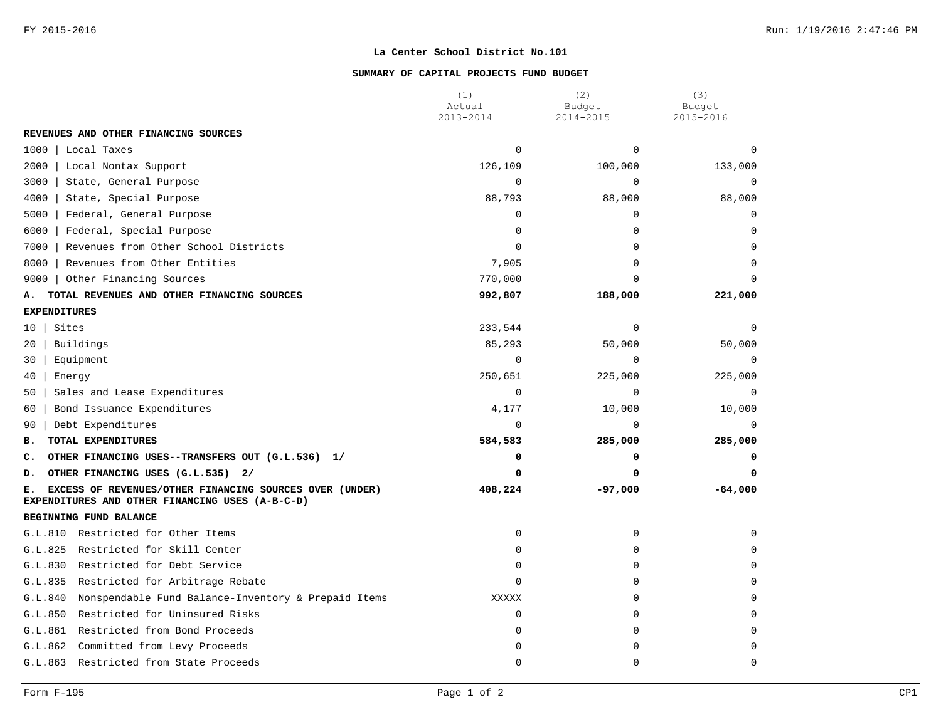### **SUMMARY OF CAPITAL PROJECTS FUND BUDGET**

|                                                                                                                  | (1)<br>Actual | (2)<br>Budget | (3)<br>Budget |
|------------------------------------------------------------------------------------------------------------------|---------------|---------------|---------------|
|                                                                                                                  | 2013-2014     | 2014-2015     | 2015-2016     |
| REVENUES AND OTHER FINANCING SOURCES                                                                             |               |               |               |
| Local Taxes<br>1000                                                                                              | $\Omega$      | $\Omega$      | $\Omega$      |
| 2000<br>Local Nontax Support                                                                                     | 126,109       | 100,000       | 133,000       |
| 3000<br>State, General Purpose                                                                                   | $\Omega$      | $\mathbf 0$   | 0             |
| 4000<br>State, Special Purpose                                                                                   | 88,793        | 88,000        | 88,000        |
| Federal, General Purpose<br>5000                                                                                 | 0             | $\mathbf 0$   | $\mathbf 0$   |
| Federal, Special Purpose<br>6000                                                                                 | $\Omega$      | $\Omega$      | $\Omega$      |
| Revenues from Other School Districts<br>7000                                                                     | $\Omega$      | $\Omega$      | $\Omega$      |
| Revenues from Other Entities<br>8000                                                                             | 7,905         | $\Omega$      | $\Omega$      |
| Other Financing Sources<br>9000                                                                                  | 770,000       | 0             |               |
| TOTAL REVENUES AND OTHER FINANCING SOURCES<br>Α.                                                                 | 992,807       | 188,000       | 221,000       |
| <b>EXPENDITURES</b>                                                                                              |               |               |               |
| Sites<br>10                                                                                                      | 233,544       | $\mathbf 0$   | $\Omega$      |
| Buildings<br>20                                                                                                  | 85,293        | 50,000        | 50,000        |
| 30<br>Equipment                                                                                                  | $\Omega$      | $\Omega$      | $\Omega$      |
| 40<br>Energy                                                                                                     | 250,651       | 225,000       | 225,000       |
| Sales and Lease Expenditures<br>50                                                                               | $\Omega$      | $\Omega$      | $\Omega$      |
| Bond Issuance Expenditures<br>60                                                                                 | 4,177         | 10,000        | 10,000        |
| Debt Expenditures<br>90                                                                                          | $\Omega$      | $\mathbf 0$   | $\Omega$      |
| TOTAL EXPENDITURES<br>в.                                                                                         | 584,583       | 285,000       | 285,000       |
| c.<br>OTHER FINANCING USES--TRANSFERS OUT (G.L.536) 1/                                                           | 0             | 0             | 0             |
| OTHER FINANCING USES (G.L.535) 2/<br>D.                                                                          | 0             | 0             | 0             |
| EXCESS OF REVENUES/OTHER FINANCING SOURCES OVER (UNDER)<br>Е.<br>EXPENDITURES AND OTHER FINANCING USES (A-B-C-D) | 408,224       | $-97,000$     | $-64,000$     |
| BEGINNING FUND BALANCE                                                                                           |               |               |               |
| G.L.810 Restricted for Other Items                                                                               | 0             | $\mathbf 0$   | $\Omega$      |
| Restricted for Skill Center<br>G.L.825                                                                           | $\Omega$      | 0             | $\Omega$      |
| Restricted for Debt Service<br>G.L.830                                                                           | $\Omega$      | $\Omega$      | $\Omega$      |
| G.L.835<br>Restricted for Arbitrage Rebate                                                                       | $\Omega$      | $\Omega$      | $\Omega$      |
| Nonspendable Fund Balance-Inventory & Prepaid Items<br>G.L.840                                                   | <b>XXXXX</b>  | $\Omega$      | $\Omega$      |
| G.L.850<br>Restricted for Uninsured Risks                                                                        | $\mathbf 0$   | $\Omega$      | $\Omega$      |
| G.L.861<br>Restricted from Bond Proceeds                                                                         | $\Omega$      | $\Omega$      | $\Omega$      |
| G.L.862<br>Committed from Levy Proceeds                                                                          | $\Omega$      | $\Omega$      | $\Omega$      |
| G.L.863 Restricted from State Proceeds                                                                           | $\Omega$      | 0             | $\Omega$      |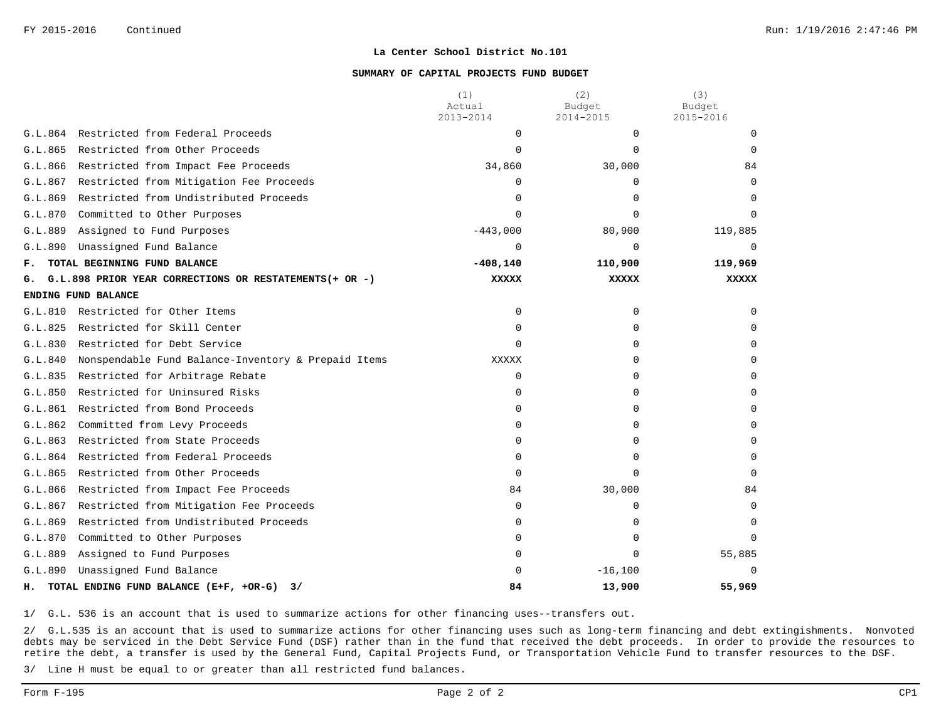#### **SUMMARY OF CAPITAL PROJECTS FUND BUDGET**

|         |                                                        | (1)<br>Actual | (2)<br>Budget | (3)<br>Budget |
|---------|--------------------------------------------------------|---------------|---------------|---------------|
|         |                                                        | 2013-2014     | 2014-2015     | 2015-2016     |
| G.L.864 | Restricted from Federal Proceeds                       | $\Omega$      | $\Omega$      | $\Omega$      |
| G.L.865 | Restricted from Other Proceeds                         | $\Omega$      | $\Omega$      | $\Omega$      |
| G.L.866 | Restricted from Impact Fee Proceeds                    | 34,860        | 30,000        | 84            |
| G.L.867 | Restricted from Mitigation Fee Proceeds                | <sup>0</sup>  | <sup>0</sup>  | $\Omega$      |
| G.L.869 | Restricted from Undistributed Proceeds                 | 0             | 0             | $\Omega$      |
| G.L.870 | Committed to Other Purposes                            | $\Omega$      |               | $\cap$        |
| G.L.889 | Assigned to Fund Purposes                              | $-443,000$    | 80,900        | 119,885       |
| G.L.890 | Unassigned Fund Balance                                | $\Omega$      | $\Omega$      | $\Omega$      |
| F.      | TOTAL BEGINNING FUND BALANCE                           | $-408, 140$   | 110,900       | 119,969       |
| G.      | G.L.898 PRIOR YEAR CORRECTIONS OR RESTATEMENTS(+ OR -) | <b>XXXXX</b>  | <b>XXXXX</b>  | <b>XXXXX</b>  |
|         | ENDING FUND BALANCE                                    |               |               |               |
| G.L.810 | Restricted for Other Items                             | 0             | $\Omega$      | $\Omega$      |
| G.L.825 | Restricted for Skill Center                            | U             | $\Omega$      | $\Omega$      |
| G.L.830 | Restricted for Debt Service                            | $\Omega$      | <sup>n</sup>  | <sup>n</sup>  |
| G.L.840 | Nonspendable Fund Balance-Inventory & Prepaid Items    | XXXXX         | <sup>n</sup>  | $\Omega$      |
| G.L.835 | Restricted for Arbitrage Rebate                        | $\Omega$      | 0             | $\Omega$      |
| G.L.850 | Restricted for Uninsured Risks                         | 0             | $\Omega$      | $\Omega$      |
| G.L.861 | Restricted from Bond Proceeds                          | 0             |               | $\Omega$      |
| G.L.862 | Committed from Levy Proceeds                           | 0             |               | $\Omega$      |
| G.L.863 | Restricted from State Proceeds                         | $\Omega$      | $\Omega$      | $\Omega$      |
| G.L.864 | Restricted from Federal Proceeds                       | $\Omega$      | <sup>n</sup>  | $\Omega$      |
| G.L.865 | Restricted from Other Proceeds                         | 0             | $\Omega$      | $\Omega$      |
| G.L.866 | Restricted from Impact Fee Proceeds                    | 84            | 30,000        | 84            |
| G.L.867 | Restricted from Mitigation Fee Proceeds                | $\Omega$      | $\Omega$      | $\Omega$      |
| G.L.869 | Restricted from Undistributed Proceeds                 | $\Omega$      | $\Omega$      | <sup>n</sup>  |
| G.L.870 | Committed to Other Purposes                            | 0             | $\Omega$      | <sup>n</sup>  |
| G.L.889 | Assigned to Fund Purposes                              | $\Omega$      | $\Omega$      | 55,885        |
| G.L.890 | Unassigned Fund Balance                                | 0             | $-16,100$     | $\Omega$      |
| н.      | TOTAL ENDING FUND BALANCE (E+F, +OR-G)<br>3/           | 84            | 13,900        | 55,969        |

1/ G.L. 536 is an account that is used to summarize actions for other financing uses--transfers out.

2/ G.L.535 is an account that is used to summarize actions for other financing uses such as long-term financing and debt extingishments. Nonvoted debts may be serviced in the Debt Service Fund (DSF) rather than in the fund that received the debt proceeds. In order to provide the resources to retire the debt, a transfer is used by the General Fund, Capital Projects Fund, or Transportation Vehicle Fund to transfer resources to the DSF.

3/ Line H must be equal to or greater than all restricted fund balances.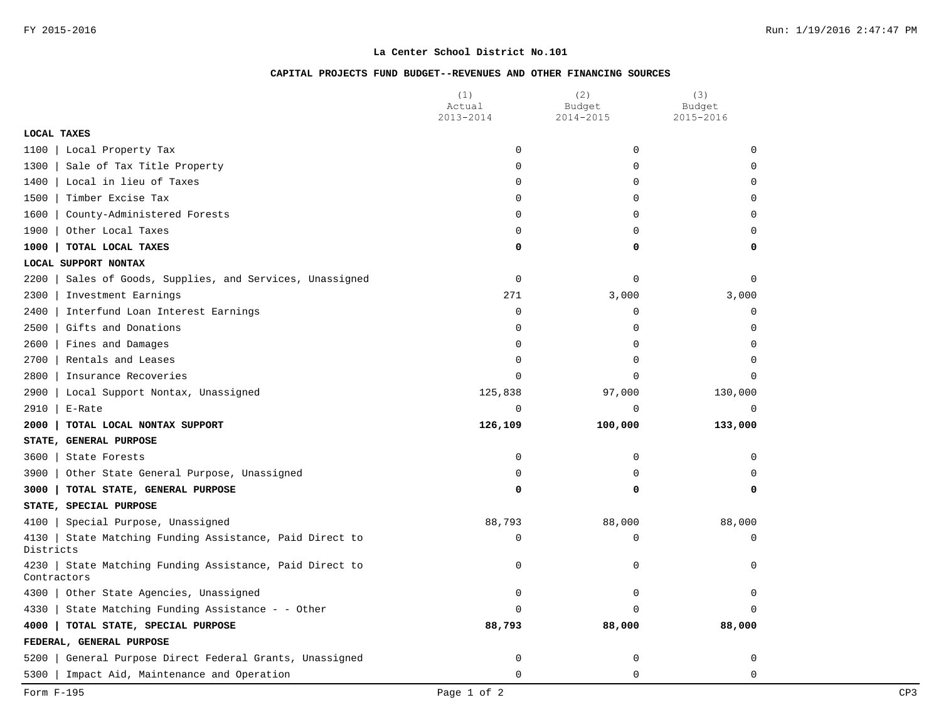## **CAPITAL PROJECTS FUND BUDGET--REVENUES AND OTHER FINANCING SOURCES**

|                                                                          | (1)<br>Actual | (2)<br>Budget | (3)<br>Budget |
|--------------------------------------------------------------------------|---------------|---------------|---------------|
|                                                                          | 2013-2014     | 2014-2015     | 2015-2016     |
| <b>LOCAL TAXES</b>                                                       |               |               |               |
| 1100<br>Local Property Tax                                               | $\mathbf 0$   | 0             | $\Omega$      |
| Sale of Tax Title Property<br>1300                                       | $\mathbf 0$   | 0             | $\Omega$      |
| 1400<br>Local in lieu of Taxes                                           | $\mathbf 0$   | 0             | 0             |
| Timber Excise Tax<br>1500                                                | $\mathbf 0$   | 0             | $\Omega$      |
| 1600<br>County-Administered Forests                                      | $\mathbf 0$   | $\Omega$      | $\Omega$      |
| 1900<br>Other Local Taxes                                                | $\mathbf 0$   | 0             | $\mathbf 0$   |
| 1000<br>TOTAL LOCAL TAXES                                                | 0             | 0             | 0             |
| LOCAL SUPPORT NONTAX                                                     |               |               |               |
| 2200<br>Sales of Goods, Supplies, and Services, Unassigned               | $\mathbf 0$   | 0             | $\Omega$      |
| 2300<br>Investment Earnings                                              | 271           | 3,000         | 3,000         |
| 2400<br>Interfund Loan Interest Earnings                                 | $\mathbf 0$   | 0             | $\mathbf 0$   |
| 2500<br>Gifts and Donations                                              | $\mathbf 0$   | 0             | $\Omega$      |
| Fines and Damages<br>2600                                                | $\mathbf 0$   | 0             | $\mathbf 0$   |
| 2700<br>Rentals and Leases                                               | 0             | 0             | $\Omega$      |
| 2800<br>Insurance Recoveries                                             | $\mathbf 0$   | 0             | $\Omega$      |
| 2900<br>Local Support Nontax, Unassigned                                 | 125,838       | 97,000        | 130,000       |
| 2910<br>E-Rate                                                           | 0             | 0             | $\mathbf 0$   |
| 2000<br>TOTAL LOCAL NONTAX SUPPORT                                       | 126,109       | 100,000       | 133,000       |
| STATE, GENERAL PURPOSE                                                   |               |               |               |
| 3600<br>State Forests                                                    | 0             | 0             | $\mathbf 0$   |
| Other State General Purpose, Unassigned<br>3900                          | $\mathbf 0$   | 0             | $\Omega$      |
| 3000<br>TOTAL STATE, GENERAL PURPOSE                                     | 0             | 0             | 0             |
| STATE, SPECIAL PURPOSE                                                   |               |               |               |
| Special Purpose, Unassigned<br>4100                                      | 88,793        | 88,000        | 88,000        |
| State Matching Funding Assistance, Paid Direct to<br>4130<br>Districts   | $\mathbf 0$   | 0             | $\Omega$      |
| State Matching Funding Assistance, Paid Direct to<br>4230<br>Contractors | 0             | $\Omega$      | $\Omega$      |
| 4300<br>Other State Agencies, Unassigned                                 | $\mathbf 0$   | 0             | $\mathbf 0$   |
| State Matching Funding Assistance - - Other<br>4330                      | $\Omega$      | 0             | $\Omega$      |
| 4000<br>TOTAL STATE, SPECIAL PURPOSE                                     | 88,793        | 88,000        | 88,000        |
| FEDERAL, GENERAL PURPOSE                                                 |               |               |               |
| 5200<br>General Purpose Direct Federal Grants, Unassigned                | $\mathbf 0$   | 0             | 0             |
| 5300<br>Impact Aid, Maintenance and Operation                            | $\mathbf 0$   | 0             | $\mathbf 0$   |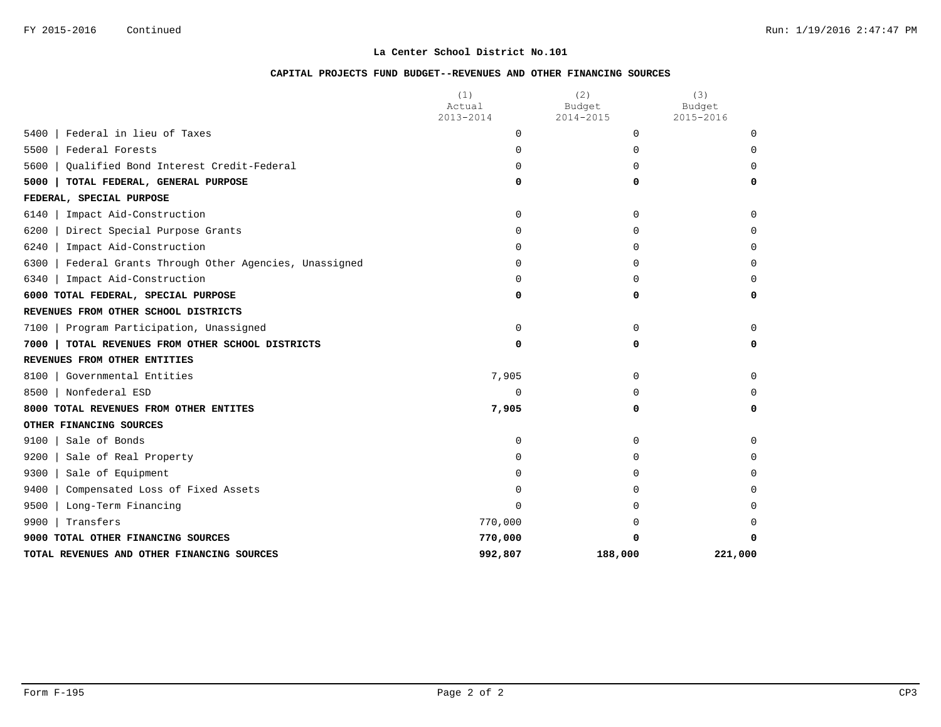## **CAPITAL PROJECTS FUND BUDGET--REVENUES AND OTHER FINANCING SOURCES**

|                                                           | (1)<br>Actual | (2)<br>Budget | (3)<br>Budget |
|-----------------------------------------------------------|---------------|---------------|---------------|
|                                                           | 2013-2014     | 2014-2015     | 2015-2016     |
| Federal in lieu of Taxes<br>5400                          | $\Omega$      | $\Omega$      | $\Omega$      |
| 5500<br>Federal Forests                                   | $\Omega$      | $\Omega$      | $\Omega$      |
| Oualified Bond Interest Credit-Federal<br>5600            | $\Omega$      | U             | $\Omega$      |
| 5000<br>TOTAL FEDERAL, GENERAL PURPOSE                    | 0             | 0             | $\Omega$      |
| FEDERAL, SPECIAL PURPOSE                                  |               |               |               |
| 6140<br>Impact Aid-Construction                           | $\Omega$      | $\Omega$      | $\Omega$      |
| 6200<br>Direct Special Purpose Grants                     | $\Omega$      | $\Omega$      | $\Omega$      |
| 6240<br>Impact Aid-Construction                           | $\Omega$      | 0             | $\Omega$      |
| 6300<br>Federal Grants Through Other Agencies, Unassigned | $\Omega$      | $\Omega$      | $\Omega$      |
| 6340<br>Impact Aid-Construction                           | $\Omega$      | <sup>0</sup>  | $\Omega$      |
| 6000 TOTAL FEDERAL, SPECIAL PURPOSE                       | 0             | 0             | 0             |
| REVENUES FROM OTHER SCHOOL DISTRICTS                      |               |               |               |
| Program Participation, Unassigned<br>7100                 | $\Omega$      | $\Omega$      | $\Omega$      |
| 7000<br>TOTAL REVENUES FROM OTHER SCHOOL DISTRICTS        | 0             | 0             | 0             |
| REVENUES FROM OTHER ENTITIES                              |               |               |               |
| 8100<br>Governmental Entities                             | 7,905         | $\Omega$      | $\Omega$      |
| 8500<br>Nonfederal ESD                                    | $\mathbf 0$   | $\Omega$      | $\Omega$      |
| 8000 TOTAL REVENUES FROM OTHER ENTITES                    | 7,905         | 0             | 0             |
| OTHER FINANCING SOURCES                                   |               |               |               |
| 9100<br>Sale of Bonds                                     | $\Omega$      | $\Omega$      | $\Omega$      |
| 9200<br>Sale of Real Property                             | $\Omega$      | U             | $\Omega$      |
| 9300<br>Sale of Equipment                                 | <sup>0</sup>  | 0             | $\Omega$      |
| 9400<br>Compensated Loss of Fixed Assets                  | $\Omega$      |               | $\Omega$      |
| 9500<br>Long-Term Financing                               | $\Omega$      | <sup>n</sup>  | $\Omega$      |
| Transfers<br>9900                                         | 770,000       |               | $\Omega$      |
| 9000 TOTAL OTHER FINANCING SOURCES                        | 770,000       |               |               |
| TOTAL REVENUES AND OTHER FINANCING SOURCES                | 992,807       | 188,000       | 221,000       |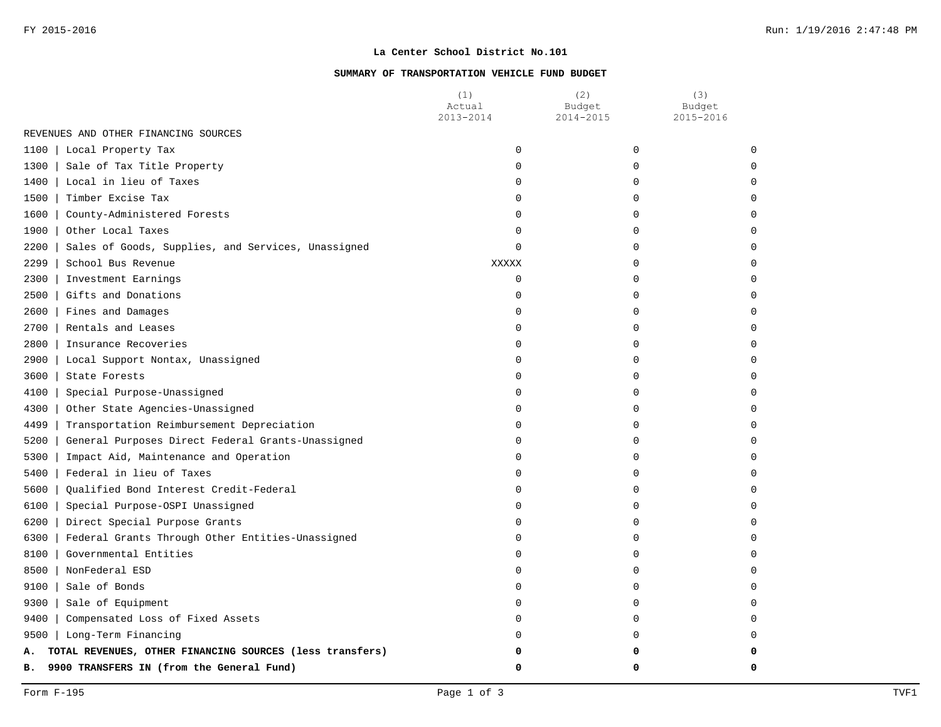### **SUMMARY OF TRANSPORTATION VEHICLE FUND BUDGET**

|                                                                | (1)<br>Actual<br>2013-2014 | (2)<br>Budget<br>2014-2015 | (3)<br>Budget<br>2015-2016 |
|----------------------------------------------------------------|----------------------------|----------------------------|----------------------------|
| REVENUES AND OTHER FINANCING SOURCES                           |                            |                            |                            |
| 1100<br>Local Property Tax                                     | 0                          | 0                          | $\Omega$                   |
| Sale of Tax Title Property<br>1300                             | $\Omega$                   | 0                          |                            |
| 1400   Local in lieu of Taxes                                  | $\Omega$                   | $\Omega$                   |                            |
| 1500<br>Timber Excise Tax                                      | $\Omega$                   | $\Omega$                   |                            |
| 1600   County-Administered Forests                             | 0                          | 0                          |                            |
| 1900   Other Local Taxes                                       | 0                          | U                          |                            |
| 2200<br>Sales of Goods, Supplies, and Services, Unassigned     | $\Omega$                   | 0                          |                            |
| 2299<br>School Bus Revenue                                     | <b>XXXXX</b>               | 0                          |                            |
| 2300<br>Investment Earnings                                    | $\Omega$                   | 0                          |                            |
| 2500<br>Gifts and Donations                                    | 0                          | $\Omega$                   |                            |
| 2600   Fines and Damages                                       | $\Omega$                   | U                          |                            |
| 2700   Rentals and Leases                                      | $\Omega$                   | U                          |                            |
| 2800   Insurance Recoveries                                    | $\Omega$                   | $\Omega$                   |                            |
| 2900<br>Local Support Nontax, Unassigned                       | $\Omega$                   | $\Omega$                   |                            |
| 3600<br>State Forests                                          | $\Omega$                   | $\Omega$                   |                            |
| 4100<br>Special Purpose-Unassigned                             | $\Omega$                   | 0                          |                            |
| 4300<br>Other State Agencies-Unassigned                        | $\Omega$                   | 0                          |                            |
| 4499<br>Transportation Reimbursement Depreciation              | $\Omega$                   | $\Omega$                   |                            |
| 5200<br>General Purposes Direct Federal Grants-Unassigned      | $\Omega$                   | 0                          |                            |
| 5300<br>Impact Aid, Maintenance and Operation                  | $\Omega$                   | U                          |                            |
| 5400<br>Federal in lieu of Taxes                               | 0                          | U                          |                            |
| 5600<br>Qualified Bond Interest Credit-Federal                 | 0                          | 0                          |                            |
| 6100<br>Special Purpose-OSPI Unassigned                        | $\Omega$                   | 0                          |                            |
| $6200$  <br>Direct Special Purpose Grants                      | $\Omega$                   | U                          |                            |
| 6300  <br>Federal Grants Through Other Entities-Unassigned     | $\Omega$                   | <sup>0</sup>               |                            |
| 8100  <br>Governmental Entities                                | $\Omega$                   | $\Omega$                   |                            |
| 8500<br>NonFederal ESD                                         | $\Omega$                   | $\Omega$                   |                            |
| 9100   Sale of Bonds                                           | $\Omega$                   | 0                          |                            |
| 9300 Sale of Equipment                                         | $\Omega$                   | 0                          |                            |
| Compensated Loss of Fixed Assets<br>9400                       | $\Omega$                   | $\Omega$                   |                            |
| 9500   Long-Term Financing                                     | $\Omega$                   | $\Omega$                   |                            |
| TOTAL REVENUES, OTHER FINANCING SOURCES (less transfers)<br>А. | O                          | n                          |                            |
| 9900 TRANSFERS IN (from the General Fund)<br>в.                | $\Omega$                   | 0                          | n                          |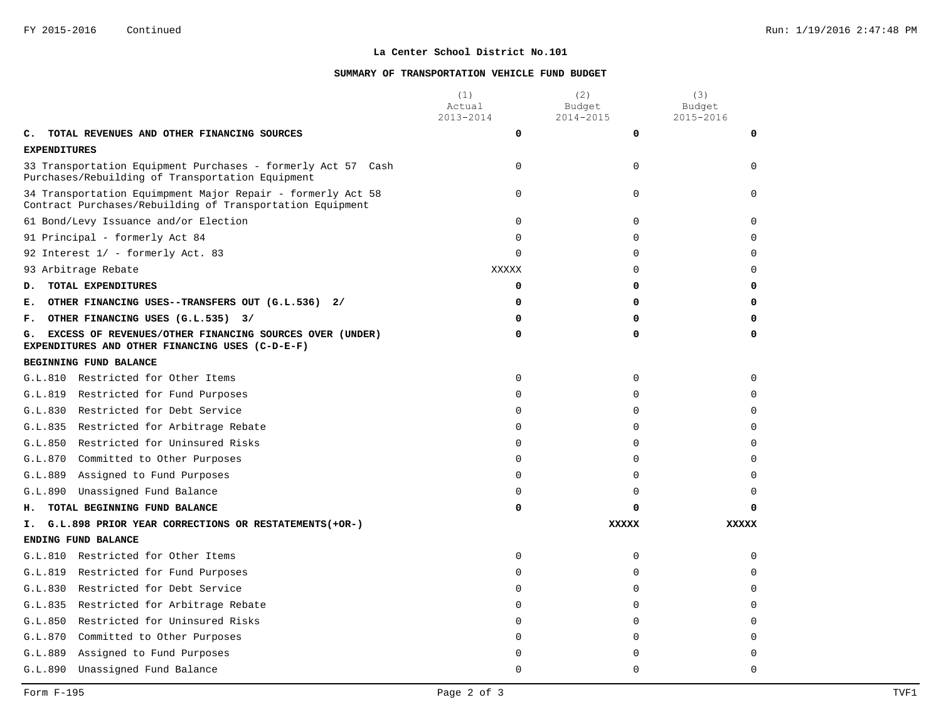### **SUMMARY OF TRANSPORTATION VEHICLE FUND BUDGET**

|                     |                                                                                                                          | (1)<br>Actual<br>2013-2014 | (2)<br>Budget<br>2014-2015 | (3)<br>Budget<br>2015-2016 |
|---------------------|--------------------------------------------------------------------------------------------------------------------------|----------------------------|----------------------------|----------------------------|
| c.                  | TOTAL REVENUES AND OTHER FINANCING SOURCES                                                                               | 0                          | $\mathbf 0$                | 0                          |
| <b>EXPENDITURES</b> |                                                                                                                          |                            |                            |                            |
|                     | 33 Transportation Equipment Purchases - formerly Act 57 Cash<br>Purchases/Rebuilding of Transportation Equipment         | $\Omega$                   | $\Omega$                   | $\Omega$                   |
|                     | 34 Transportation Equimpment Major Repair - formerly Act 58<br>Contract Purchases/Rebuilding of Transportation Equipment | $\mathbf 0$                | $\mathbf 0$                | $\Omega$                   |
|                     | 61 Bond/Levy Issuance and/or Election                                                                                    | $\mathbf 0$                | $\mathbf 0$                | 0                          |
|                     | 91 Principal - formerly Act 84                                                                                           | $\mathbf 0$                | $\mathbf 0$                | $\Omega$                   |
|                     | 92 Interest 1/ - formerly Act. 83                                                                                        | $\Omega$                   | $\Omega$                   | $\Omega$                   |
|                     | 93 Arbitrage Rebate                                                                                                      | <b>XXXXX</b>               | 0                          | $\Omega$                   |
| D.                  | TOTAL EXPENDITURES                                                                                                       | 0                          | 0                          | 0                          |
| Е.                  | OTHER FINANCING USES--TRANSFERS OUT (G.L.536) 2/                                                                         | 0                          | 0                          | 0                          |
| F.                  | OTHER FINANCING USES (G.L.535) 3/                                                                                        | 0                          | 0                          | 0                          |
| G.                  | EXCESS OF REVENUES/OTHER FINANCING SOURCES OVER (UNDER)<br>EXPENDITURES AND OTHER FINANCING USES (C-D-E-F)               | 0                          | 0                          | 0                          |
|                     | BEGINNING FUND BALANCE                                                                                                   |                            |                            |                            |
|                     | G.L.810 Restricted for Other Items                                                                                       | 0                          | $\mathbf 0$                | $\Omega$                   |
| G.L.819             | Restricted for Fund Purposes                                                                                             | $\Omega$                   | $\Omega$                   | $\Omega$                   |
| G.L.830             | Restricted for Debt Service                                                                                              | $\mathbf 0$                | $\mathbf 0$                | $\Omega$                   |
|                     | G.L.835 Restricted for Arbitrage Rebate                                                                                  | $\Omega$                   | $\Omega$                   | $\Omega$                   |
|                     | G.L.850 Restricted for Uninsured Risks                                                                                   | 0                          | 0                          | $\Omega$                   |
| G.L.870             | Committed to Other Purposes                                                                                              | 0                          | 0                          | $\Omega$                   |
| G.L.889             | Assigned to Fund Purposes                                                                                                | $\Omega$                   | $\Omega$                   | $\Omega$                   |
| G.L.890             | Unassigned Fund Balance                                                                                                  | $\Omega$                   | 0                          | $\Omega$                   |
| н.                  | TOTAL BEGINNING FUND BALANCE                                                                                             | 0                          | 0                          | O                          |
| Ι.                  | G.L.898 PRIOR YEAR CORRECTIONS OR RESTATEMENTS (+OR-)                                                                    |                            | <b>XXXXX</b>               | <b>XXXXX</b>               |
|                     | ENDING FUND BALANCE                                                                                                      |                            |                            |                            |
| G.L.810             | Restricted for Other Items                                                                                               | 0                          | $\mathbf 0$                | $\Omega$                   |
| G.L.819             | Restricted for Fund Purposes                                                                                             | $\Omega$                   | $\Omega$                   | $\Omega$                   |
| G.L.830             | Restricted for Debt Service                                                                                              | 0                          | $\mathbf 0$                | $\Omega$                   |
| G.L.835             | Restricted for Arbitrage Rebate                                                                                          | $\Omega$                   | $\Omega$                   | $\Omega$                   |
| G.L.850             | Restricted for Uninsured Risks                                                                                           | $\Omega$                   | $\Omega$                   | $\Omega$                   |
| G.L.870             | Committed to Other Purposes                                                                                              | $\Omega$                   | $\mathbf 0$                | $\Omega$                   |
| G.L.889             | Assigned to Fund Purposes                                                                                                | $\Omega$                   | $\Omega$                   | $\Omega$                   |
| G.L.890             | Unassigned Fund Balance                                                                                                  | $\Omega$                   | $\Omega$                   | $\Omega$                   |